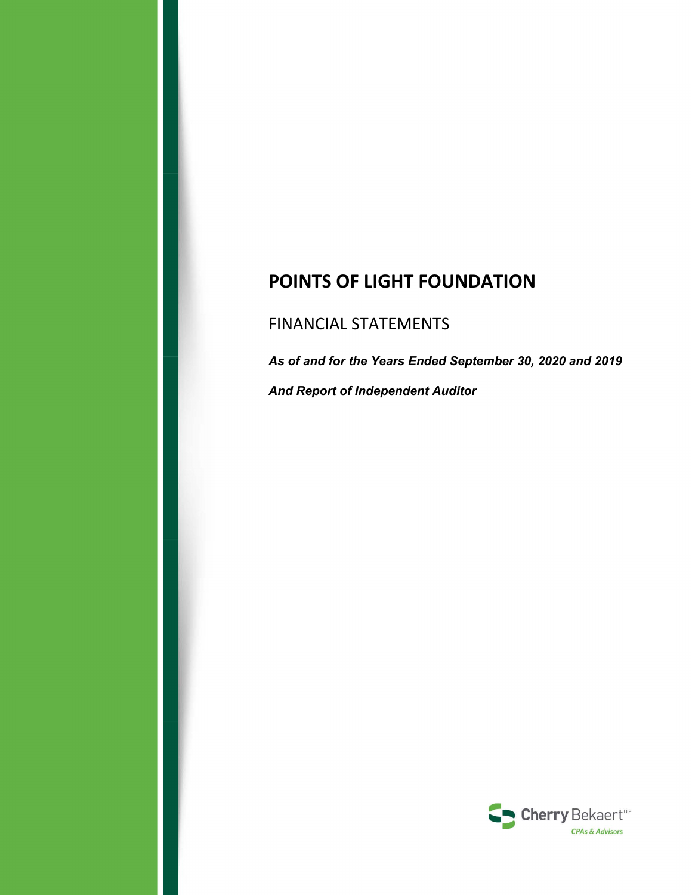# **POINTS OF LIGHT FOUNDATION**

# FINANCIAL STATEMENTS

*As of and for the Years Ended September 30, 2020 and 2019 And Report of Independent Auditor* 

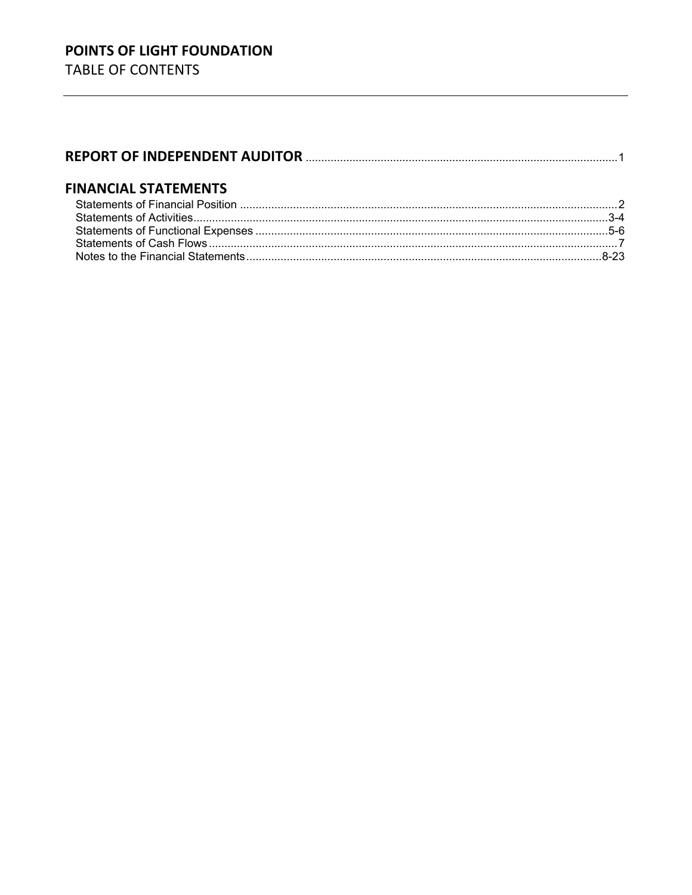# **FINANCIAL STATEMENTS**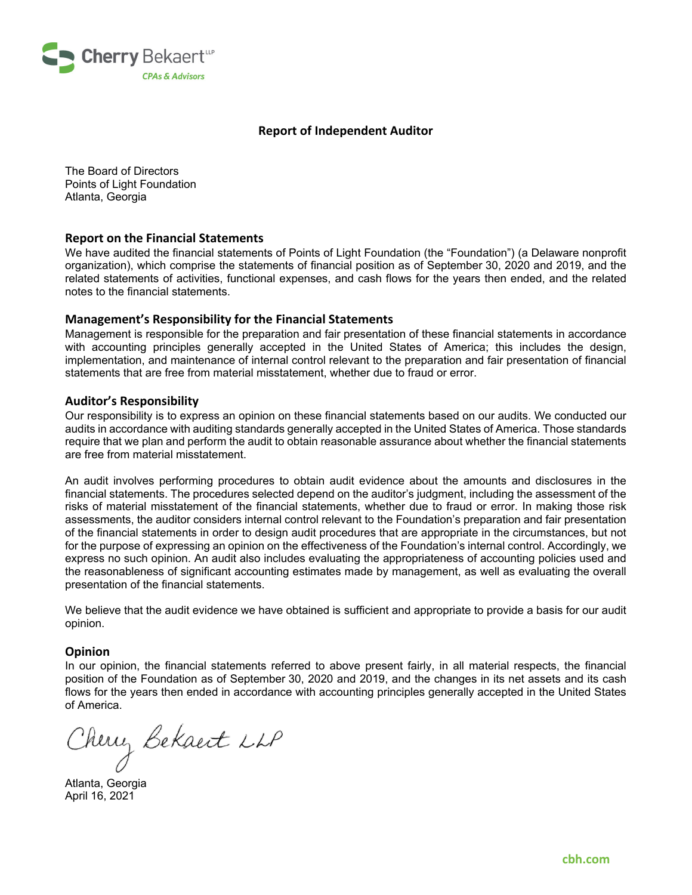

### **Report of Independent Auditor**

The Board of Directors Points of Light Foundation Atlanta, Georgia

#### **Report on the Financial Statements**

We have audited the financial statements of Points of Light Foundation (the "Foundation") (a Delaware nonprofit organization), which comprise the statements of financial position as of September 30, 2020 and 2019, and the related statements of activities, functional expenses, and cash flows for the years then ended, and the related notes to the financial statements.

#### **Management's Responsibility for the Financial Statements**

Management is responsible for the preparation and fair presentation of these financial statements in accordance with accounting principles generally accepted in the United States of America; this includes the design, implementation, and maintenance of internal control relevant to the preparation and fair presentation of financial statements that are free from material misstatement, whether due to fraud or error.

#### **Auditor's Responsibility**

Our responsibility is to express an opinion on these financial statements based on our audits. We conducted our audits in accordance with auditing standards generally accepted in the United States of America. Those standards require that we plan and perform the audit to obtain reasonable assurance about whether the financial statements are free from material misstatement.

An audit involves performing procedures to obtain audit evidence about the amounts and disclosures in the financial statements. The procedures selected depend on the auditor's judgment, including the assessment of the risks of material misstatement of the financial statements, whether due to fraud or error. In making those risk assessments, the auditor considers internal control relevant to the Foundation's preparation and fair presentation of the financial statements in order to design audit procedures that are appropriate in the circumstances, but not for the purpose of expressing an opinion on the effectiveness of the Foundation's internal control. Accordingly, we express no such opinion. An audit also includes evaluating the appropriateness of accounting policies used and the reasonableness of significant accounting estimates made by management, as well as evaluating the overall presentation of the financial statements.

We believe that the audit evidence we have obtained is sufficient and appropriate to provide a basis for our audit opinion.

#### **Opinion**

In our opinion, the financial statements referred to above present fairly, in all material respects, the financial position of the Foundation as of September 30, 2020 and 2019, and the changes in its net assets and its cash flows for the years then ended in accordance with accounting principles generally accepted in the United States of America.

Cherry Bekaert LLP

April 16, 2021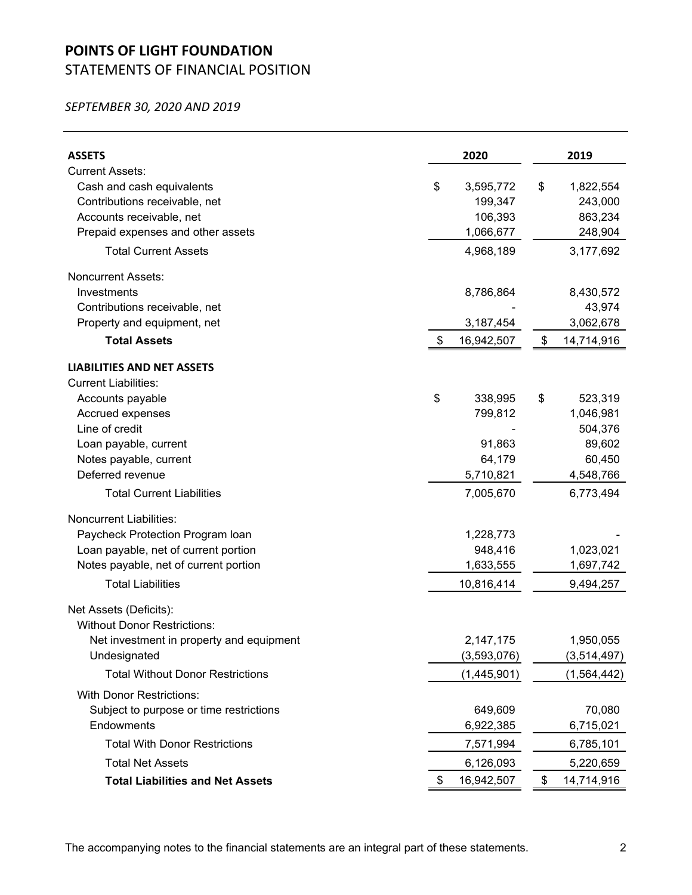# **POINTS OF LIGHT FOUNDATION**

# STATEMENTS OF FINANCIAL POSITION

*SEPTEMBER 30, 2020 AND 2019*

| <b>ASSETS</b>                            | 2020             | 2019             |
|------------------------------------------|------------------|------------------|
| <b>Current Assets:</b>                   |                  |                  |
| Cash and cash equivalents                | \$<br>3,595,772  | \$<br>1,822,554  |
| Contributions receivable, net            | 199,347          | 243,000          |
| Accounts receivable, net                 | 106,393          | 863,234          |
| Prepaid expenses and other assets        | 1,066,677        | 248,904          |
| <b>Total Current Assets</b>              | 4,968,189        | 3,177,692        |
| <b>Noncurrent Assets:</b>                |                  |                  |
| Investments                              | 8,786,864        | 8,430,572        |
| Contributions receivable, net            |                  | 43,974           |
| Property and equipment, net              | 3,187,454        | 3,062,678        |
| <b>Total Assets</b>                      | \$<br>16,942,507 | \$<br>14,714,916 |
| <b>LIABILITIES AND NET ASSETS</b>        |                  |                  |
| <b>Current Liabilities:</b>              |                  |                  |
| Accounts payable                         | \$<br>338,995    | \$<br>523,319    |
| Accrued expenses                         | 799,812          | 1,046,981        |
| Line of credit                           |                  | 504,376          |
| Loan payable, current                    | 91,863           | 89,602           |
| Notes payable, current                   | 64,179           | 60,450           |
| Deferred revenue                         | 5,710,821        | 4,548,766        |
| <b>Total Current Liabilities</b>         | 7,005,670        | 6,773,494        |
| <b>Noncurrent Liabilities:</b>           |                  |                  |
| Paycheck Protection Program Ioan         | 1,228,773        |                  |
| Loan payable, net of current portion     | 948,416          | 1,023,021        |
| Notes payable, net of current portion    | 1,633,555        | 1,697,742        |
| <b>Total Liabilities</b>                 | 10,816,414       | 9,494,257        |
| Net Assets (Deficits):                   |                  |                  |
| <b>Without Donor Restrictions:</b>       |                  |                  |
| Net investment in property and equipment | 2.147.175        | 1,950,055        |
| Undesignated                             | (3,593,076)      | (3,514,497)      |
| <b>Total Without Donor Restrictions</b>  | (1,445,901)      | (1, 564, 442)    |
| <b>With Donor Restrictions:</b>          |                  |                  |
| Subject to purpose or time restrictions  | 649,609          | 70,080           |
| Endowments                               | 6,922,385        | 6,715,021        |
| <b>Total With Donor Restrictions</b>     | 7,571,994        | 6,785,101        |
| <b>Total Net Assets</b>                  | 6,126,093        | 5,220,659        |
| <b>Total Liabilities and Net Assets</b>  | \$<br>16,942,507 | \$<br>14,714,916 |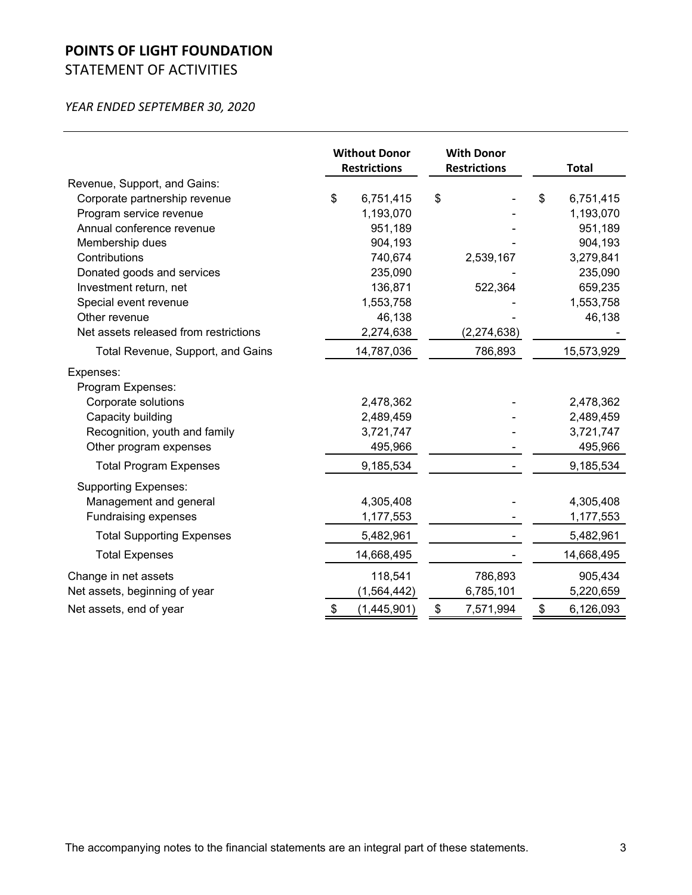# **POINTS OF LIGHT FOUNDATION** STATEMENT OF ACTIVITIES

|                                       | <b>Without Donor</b><br><b>Restrictions</b> | <b>With Donor</b><br><b>Restrictions</b> | <b>Total</b>    |
|---------------------------------------|---------------------------------------------|------------------------------------------|-----------------|
| Revenue, Support, and Gains:          |                                             |                                          |                 |
| Corporate partnership revenue         | \$<br>6,751,415                             | \$                                       | \$<br>6,751,415 |
| Program service revenue               | 1,193,070                                   |                                          | 1,193,070       |
| Annual conference revenue             | 951,189                                     |                                          | 951,189         |
| Membership dues                       | 904,193                                     |                                          | 904,193         |
| Contributions                         | 740,674                                     | 2,539,167                                | 3,279,841       |
| Donated goods and services            | 235,090                                     |                                          | 235,090         |
| Investment return, net                | 136,871                                     | 522,364                                  | 659,235         |
| Special event revenue                 | 1,553,758                                   |                                          | 1,553,758       |
| Other revenue                         | 46,138                                      |                                          | 46,138          |
| Net assets released from restrictions | 2,274,638                                   | (2, 274, 638)                            |                 |
| Total Revenue, Support, and Gains     | 14,787,036                                  | 786,893                                  | 15,573,929      |
| Expenses:<br>Program Expenses:        |                                             |                                          |                 |
| Corporate solutions                   | 2,478,362                                   |                                          | 2,478,362       |
| Capacity building                     | 2,489,459                                   |                                          | 2,489,459       |
| Recognition, youth and family         | 3,721,747                                   |                                          | 3,721,747       |
| Other program expenses                | 495,966                                     |                                          | 495,966         |
| <b>Total Program Expenses</b>         | 9,185,534                                   |                                          | 9,185,534       |
| <b>Supporting Expenses:</b>           |                                             |                                          |                 |
| Management and general                | 4,305,408                                   |                                          | 4,305,408       |
| <b>Fundraising expenses</b>           | 1,177,553                                   |                                          | 1,177,553       |
| <b>Total Supporting Expenses</b>      | 5,482,961                                   |                                          | 5,482,961       |
| <b>Total Expenses</b>                 | 14,668,495                                  |                                          | 14,668,495      |
| Change in net assets                  | 118,541                                     | 786,893                                  | 905,434         |
| Net assets, beginning of year         | (1, 564, 442)                               | 6,785,101                                | 5,220,659       |
| Net assets, end of year               | \$<br>(1,445,901)                           | \$<br>7,571,994                          | \$<br>6,126,093 |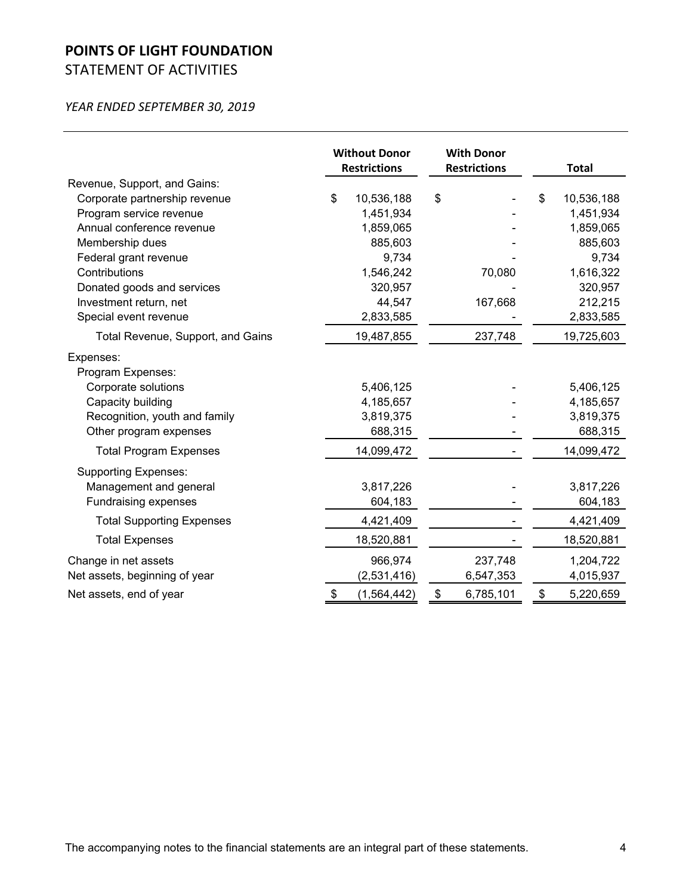# **POINTS OF LIGHT FOUNDATION** STATEMENT OF ACTIVITIES

|                                   | <b>Without Donor</b><br><b>Restrictions</b> |               | <b>With Donor</b><br><b>Restrictions</b> |                | <b>Total</b> |
|-----------------------------------|---------------------------------------------|---------------|------------------------------------------|----------------|--------------|
| Revenue, Support, and Gains:      |                                             |               |                                          |                |              |
| Corporate partnership revenue     | \$                                          | 10,536,188    | \$                                       | \$             | 10,536,188   |
| Program service revenue           |                                             | 1,451,934     |                                          |                | 1,451,934    |
| Annual conference revenue         |                                             | 1,859,065     |                                          |                | 1,859,065    |
| Membership dues                   |                                             | 885,603       |                                          |                | 885,603      |
| Federal grant revenue             |                                             | 9,734         |                                          |                | 9,734        |
| Contributions                     |                                             | 1,546,242     | 70,080                                   |                | 1,616,322    |
| Donated goods and services        |                                             | 320,957       |                                          |                | 320,957      |
| Investment return, net            |                                             | 44,547        | 167,668                                  |                | 212,215      |
| Special event revenue             |                                             | 2,833,585     |                                          |                | 2,833,585    |
| Total Revenue, Support, and Gains |                                             | 19,487,855    | 237,748                                  |                | 19,725,603   |
| Expenses:<br>Program Expenses:    |                                             |               |                                          |                |              |
| Corporate solutions               |                                             | 5,406,125     |                                          |                | 5,406,125    |
| Capacity building                 |                                             | 4,185,657     |                                          |                | 4,185,657    |
| Recognition, youth and family     |                                             | 3,819,375     |                                          |                | 3,819,375    |
| Other program expenses            |                                             | 688,315       |                                          |                | 688,315      |
| <b>Total Program Expenses</b>     |                                             | 14,099,472    |                                          |                | 14,099,472   |
| <b>Supporting Expenses:</b>       |                                             |               |                                          |                |              |
| Management and general            |                                             | 3,817,226     |                                          |                | 3,817,226    |
| <b>Fundraising expenses</b>       |                                             | 604,183       |                                          |                | 604,183      |
| <b>Total Supporting Expenses</b>  |                                             | 4,421,409     |                                          |                | 4,421,409    |
| <b>Total Expenses</b>             |                                             | 18,520,881    |                                          |                | 18,520,881   |
| Change in net assets              |                                             | 966,974       | 237,748                                  |                | 1,204,722    |
| Net assets, beginning of year     |                                             | (2,531,416)   | 6,547,353                                |                | 4,015,937    |
| Net assets, end of year           | \$                                          | (1, 564, 442) | \$<br>6,785,101                          | $\mathfrak{S}$ | 5,220,659    |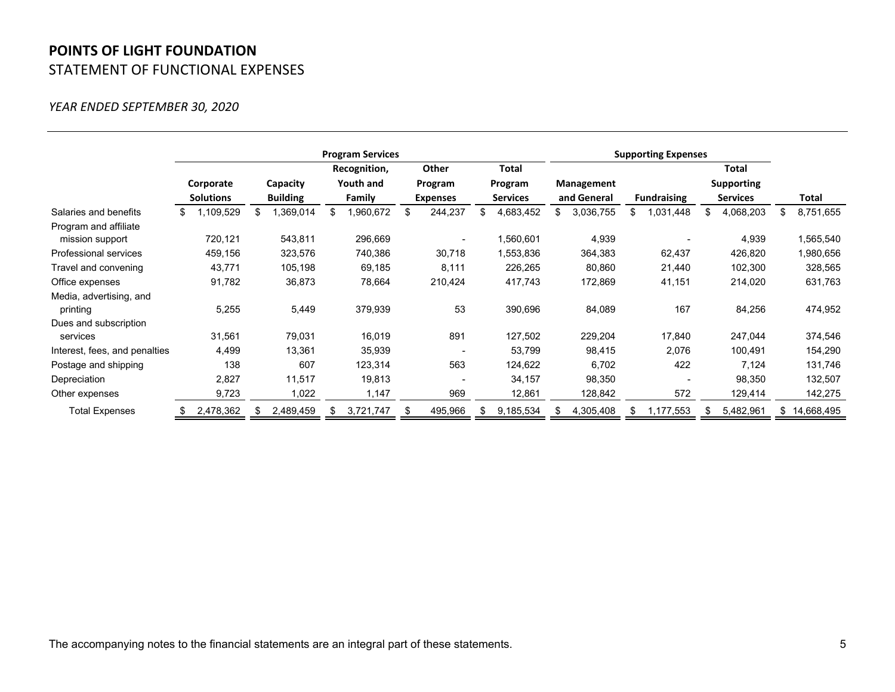# **POINTS OF LIGHT FOUNDATION** STATEMENT OF FUNCTIONAL EXPENSES

|                               | <b>Program Services</b> |                               |     |                 |        |              |                 |         |                 |           |             |           | <b>Supporting Expenses</b> |                          |                 |           |    |            |  |          |  |  |           |  |         |  |         |  |  |            |  |  |  |            |  |  |
|-------------------------------|-------------------------|-------------------------------|-----|-----------------|--------|--------------|-----------------|---------|-----------------|-----------|-------------|-----------|----------------------------|--------------------------|-----------------|-----------|----|------------|--|----------|--|--|-----------|--|---------|--|---------|--|--|------------|--|--|--|------------|--|--|
|                               |                         |                               |     |                 |        | Recognition, |                 | Other   | <b>Total</b>    |           |             |           |                            |                          |                 | Total     |    |            |  |          |  |  |           |  |         |  |         |  |  |            |  |  |  |            |  |  |
|                               |                         | Corporate<br><b>Solutions</b> |     |                 |        |              |                 |         |                 |           |             |           |                            |                          |                 |           |    |            |  | Capacity |  |  | Youth and |  | Program |  | Program |  |  | Management |  |  |  | Supporting |  |  |
|                               |                         |                               |     | <b>Building</b> | Family |              | <b>Expenses</b> |         | <b>Services</b> |           | and General |           | <b>Fundraising</b>         |                          | <b>Services</b> |           |    | Total      |  |          |  |  |           |  |         |  |         |  |  |            |  |  |  |            |  |  |
| Salaries and benefits         | æ.                      | 1,109,529                     |     | 1,369,014       | \$     | 1,960,672    | \$              | 244,237 | \$              | 4,683,452 |             | 3,036,755 |                            | 1,031,448                | \$              | 4,068,203 | \$ | 8,751,655  |  |          |  |  |           |  |         |  |         |  |  |            |  |  |  |            |  |  |
| Program and affiliate         |                         |                               |     |                 |        |              |                 |         |                 |           |             |           |                            |                          |                 |           |    |            |  |          |  |  |           |  |         |  |         |  |  |            |  |  |  |            |  |  |
| mission support               |                         | 720,121                       |     | 543,811         |        | 296,669      |                 |         |                 | 1,560,601 |             | 4,939     |                            |                          |                 | 4,939     |    | 1,565,540  |  |          |  |  |           |  |         |  |         |  |  |            |  |  |  |            |  |  |
| Professional services         |                         | 459,156                       |     | 323,576         |        | 740,386      |                 | 30,718  |                 | 1,553,836 |             | 364,383   |                            | 62,437                   |                 | 426,820   |    | 1,980,656  |  |          |  |  |           |  |         |  |         |  |  |            |  |  |  |            |  |  |
| Travel and convening          |                         | 43,771                        |     | 105,198         |        | 69,185       |                 | 8,111   |                 | 226,265   |             | 80,860    |                            | 21,440                   |                 | 102,300   |    | 328,565    |  |          |  |  |           |  |         |  |         |  |  |            |  |  |  |            |  |  |
| Office expenses               |                         | 91,782                        |     | 36,873          |        | 78,664       |                 | 210,424 |                 | 417,743   |             | 172,869   |                            | 41,151                   |                 | 214,020   |    | 631,763    |  |          |  |  |           |  |         |  |         |  |  |            |  |  |  |            |  |  |
| Media, advertising, and       |                         |                               |     |                 |        |              |                 |         |                 |           |             |           |                            |                          |                 |           |    |            |  |          |  |  |           |  |         |  |         |  |  |            |  |  |  |            |  |  |
| printing                      |                         | 5,255                         |     | 5,449           |        | 379,939      |                 | 53      |                 | 390,696   |             | 84,089    |                            | 167                      |                 | 84,256    |    | 474,952    |  |          |  |  |           |  |         |  |         |  |  |            |  |  |  |            |  |  |
| Dues and subscription         |                         |                               |     |                 |        |              |                 |         |                 |           |             |           |                            |                          |                 |           |    |            |  |          |  |  |           |  |         |  |         |  |  |            |  |  |  |            |  |  |
| services                      |                         | 31,561                        |     | 79,031          |        | 16,019       |                 | 891     |                 | 127,502   |             | 229,204   |                            | 17,840                   |                 | 247,044   |    | 374,546    |  |          |  |  |           |  |         |  |         |  |  |            |  |  |  |            |  |  |
| Interest, fees, and penalties |                         | 4,499                         |     | 13,361          |        | 35,939       |                 |         |                 | 53,799    |             | 98,415    |                            | 2,076                    |                 | 100,491   |    | 154,290    |  |          |  |  |           |  |         |  |         |  |  |            |  |  |  |            |  |  |
| Postage and shipping          |                         | 138                           |     | 607             |        | 123,314      |                 | 563     |                 | 124,622   |             | 6,702     |                            | 422                      |                 | 7,124     |    | 131,746    |  |          |  |  |           |  |         |  |         |  |  |            |  |  |  |            |  |  |
| Depreciation                  |                         | 2,827                         |     | 11,517          |        | 19,813       |                 |         |                 | 34,157    |             | 98,350    |                            | $\overline{\phantom{a}}$ |                 | 98,350    |    | 132,507    |  |          |  |  |           |  |         |  |         |  |  |            |  |  |  |            |  |  |
| Other expenses                |                         | 9,723                         |     | 1,022           |        | 1,147        |                 | 969     |                 | 12,861    |             | 128,842   |                            | 572                      |                 | 129,414   |    | 142,275    |  |          |  |  |           |  |         |  |         |  |  |            |  |  |  |            |  |  |
| <b>Total Expenses</b>         |                         | 2,478,362                     | -86 | 2,489,459       | -86    | 3,721,747    | \$.             | 495,966 | Ж,              | 9,185,534 | -85         | 4,305,408 | Ж,                         | 1,177,553                | æ.              | 5,482,961 | S. | 14,668,495 |  |          |  |  |           |  |         |  |         |  |  |            |  |  |  |            |  |  |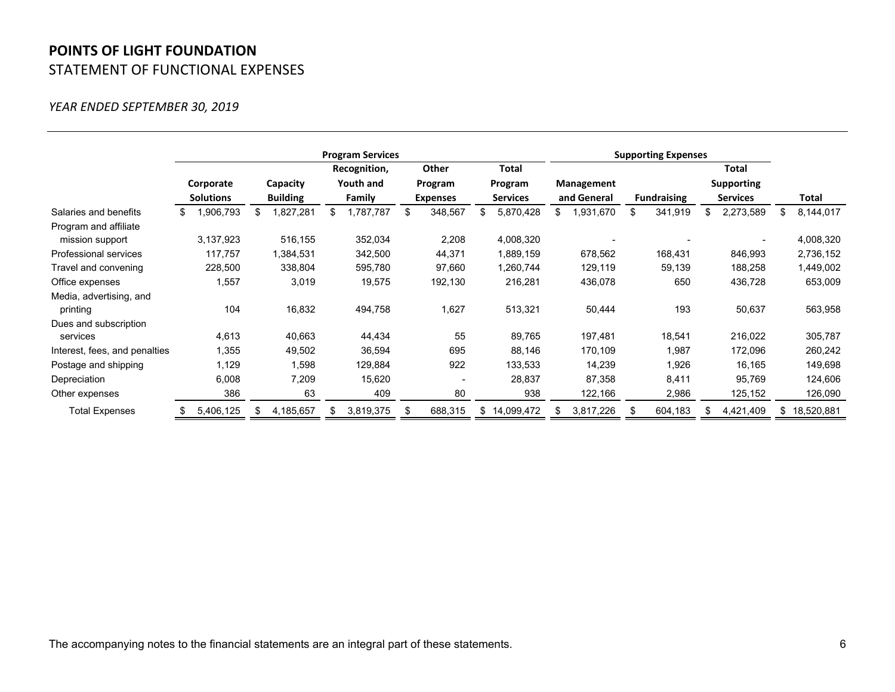# **POINTS OF LIGHT FOUNDATION** STATEMENT OF FUNCTIONAL EXPENSES

|                               | <b>Program Services</b> |                  |      |                 |              |           |     |                 |    |                 |  |             | <b>Supporting Expenses</b> |                    |  |                 |    |            |  |  |                   |  |  |  |
|-------------------------------|-------------------------|------------------|------|-----------------|--------------|-----------|-----|-----------------|----|-----------------|--|-------------|----------------------------|--------------------|--|-----------------|----|------------|--|--|-------------------|--|--|--|
|                               |                         |                  |      |                 | Recognition, |           |     | Other           |    | Total           |  |             |                            |                    |  | Total           |    |            |  |  |                   |  |  |  |
|                               |                         | Corporate        |      |                 |              |           |     |                 |    | Capacity        |  | Youth and   |                            | Program            |  | Program         |    | Management |  |  | <b>Supporting</b> |  |  |  |
|                               |                         | <b>Solutions</b> |      | <b>Building</b> |              | Family    |     | <b>Expenses</b> |    | <b>Services</b> |  | and General |                            | <b>Fundraising</b> |  | <b>Services</b> |    | Total      |  |  |                   |  |  |  |
| Salaries and benefits         |                         | ,906,793         |      | .827,281        | \$           | 1,787,787 | \$. | 348,567         |    | 5,870,428       |  | 1,931,670   | \$                         | 341,919            |  | 2,273,589       | \$ | 8,144,017  |  |  |                   |  |  |  |
| Program and affiliate         |                         |                  |      |                 |              |           |     |                 |    |                 |  |             |                            |                    |  |                 |    |            |  |  |                   |  |  |  |
| mission support               |                         | 3,137,923        |      | 516,155         |              | 352,034   |     | 2,208           |    | 4,008,320       |  |             |                            |                    |  |                 |    | 4,008,320  |  |  |                   |  |  |  |
| Professional services         |                         | 117,757          |      | 1,384,531       |              | 342,500   |     | 44,371          |    | 1,889,159       |  | 678,562     |                            | 168,431            |  | 846,993         |    | 2,736,152  |  |  |                   |  |  |  |
| Travel and convening          |                         | 228,500          |      | 338,804         |              | 595,780   |     | 97,660          |    | 1,260,744       |  | 129,119     |                            | 59,139             |  | 188,258         |    | 1,449,002  |  |  |                   |  |  |  |
| Office expenses               |                         | 1,557            |      | 3,019           |              | 19,575    |     | 192,130         |    | 216,281         |  | 436,078     |                            | 650                |  | 436,728         |    | 653,009    |  |  |                   |  |  |  |
| Media, advertising, and       |                         |                  |      |                 |              |           |     |                 |    |                 |  |             |                            |                    |  |                 |    |            |  |  |                   |  |  |  |
| printing                      |                         | 104              |      | 16,832          |              | 494,758   |     | 1,627           |    | 513,321         |  | 50,444      |                            | 193                |  | 50,637          |    | 563,958    |  |  |                   |  |  |  |
| Dues and subscription         |                         |                  |      |                 |              |           |     |                 |    |                 |  |             |                            |                    |  |                 |    |            |  |  |                   |  |  |  |
| services                      |                         | 4,613            |      | 40,663          |              | 44,434    |     | 55              |    | 89,765          |  | 197,481     |                            | 18,541             |  | 216,022         |    | 305,787    |  |  |                   |  |  |  |
| Interest, fees, and penalties |                         | 1,355            |      | 49,502          |              | 36,594    |     | 695             |    | 88,146          |  | 170,109     |                            | 1,987              |  | 172,096         |    | 260,242    |  |  |                   |  |  |  |
| Postage and shipping          |                         | 1,129            |      | 1,598           |              | 129,884   |     | 922             |    | 133,533         |  | 14,239      |                            | 1,926              |  | 16,165          |    | 149,698    |  |  |                   |  |  |  |
| Depreciation                  |                         | 6,008            |      | 7,209           |              | 15,620    |     |                 |    | 28,837          |  | 87,358      |                            | 8,411              |  | 95,769          |    | 124,606    |  |  |                   |  |  |  |
| Other expenses                |                         | 386              |      | 63              |              | 409       |     | 80              |    | 938             |  | 122,166     |                            | 2,986              |  | 125,152         |    | 126,090    |  |  |                   |  |  |  |
| <b>Total Expenses</b>         |                         | 5,406,125        | - 35 | 4,185,657       | SS.          | 3,819,375 |     | 688,315         | S. | 14,099,472      |  | 3,817,226   |                            | 604,183            |  | 4,421,409       | S. | 18,520,881 |  |  |                   |  |  |  |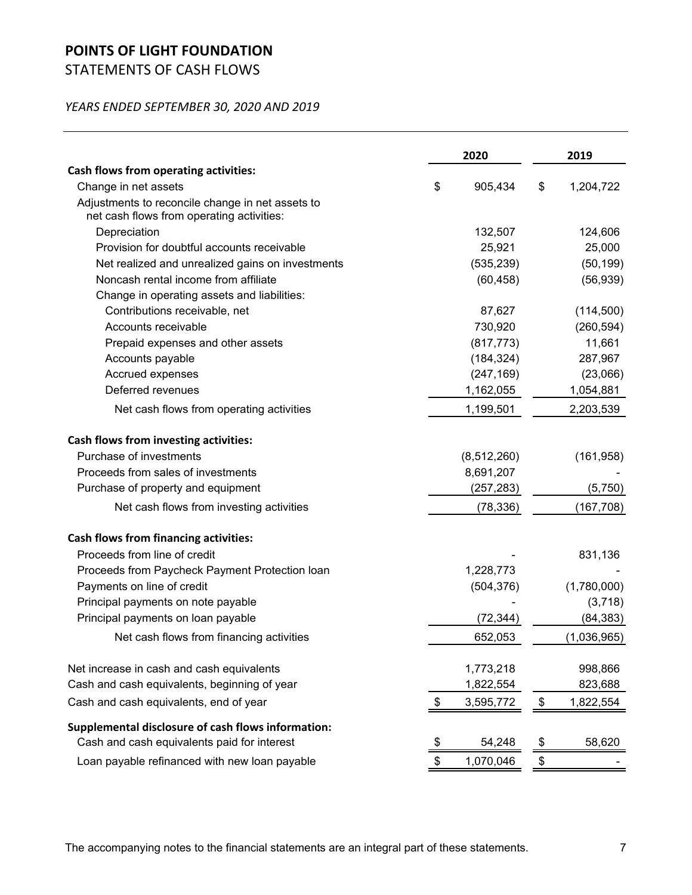# **POINTS OF LIGHT FOUNDATION**

STATEMENTS OF CASH FLOWS

## *YEARS ENDED SEPTEMBER 30, 2020 AND 2019*

|                                                                                               | 2020            | 2019            |
|-----------------------------------------------------------------------------------------------|-----------------|-----------------|
| Cash flows from operating activities:                                                         |                 |                 |
| Change in net assets                                                                          | \$<br>905,434   | \$<br>1,204,722 |
| Adjustments to reconcile change in net assets to<br>net cash flows from operating activities: |                 |                 |
| Depreciation                                                                                  | 132,507         | 124,606         |
| Provision for doubtful accounts receivable                                                    | 25,921          | 25,000          |
| Net realized and unrealized gains on investments                                              | (535, 239)      | (50, 199)       |
| Noncash rental income from affiliate                                                          | (60, 458)       | (56, 939)       |
| Change in operating assets and liabilities:                                                   |                 |                 |
| Contributions receivable, net                                                                 | 87,627          | (114,500)       |
| Accounts receivable                                                                           | 730,920         | (260, 594)      |
| Prepaid expenses and other assets                                                             | (817, 773)      | 11,661          |
| Accounts payable                                                                              | (184, 324)      | 287,967         |
| Accrued expenses                                                                              | (247, 169)      | (23,066)        |
| Deferred revenues                                                                             | 1,162,055       | 1,054,881       |
| Net cash flows from operating activities                                                      | 1,199,501       | 2,203,539       |
| Cash flows from investing activities:                                                         |                 |                 |
| Purchase of investments                                                                       | (8, 512, 260)   | (161, 958)      |
| Proceeds from sales of investments                                                            | 8,691,207       |                 |
| Purchase of property and equipment                                                            | (257, 283)      | (5,750)         |
| Net cash flows from investing activities                                                      | (78, 336)       | (167, 708)      |
| <b>Cash flows from financing activities:</b>                                                  |                 |                 |
| Proceeds from line of credit                                                                  |                 | 831,136         |
| Proceeds from Paycheck Payment Protection Ioan                                                | 1,228,773       |                 |
| Payments on line of credit                                                                    | (504, 376)      | (1,780,000)     |
| Principal payments on note payable                                                            |                 | (3,718)         |
| Principal payments on loan payable                                                            | (72, 344)       | (84, 383)       |
| Net cash flows from financing activities                                                      | 652,053         | (1,036,965)     |
| Net increase in cash and cash equivalents                                                     | 1,773,218       | 998,866         |
| Cash and cash equivalents, beginning of year                                                  | 1,822,554       | 823,688         |
| Cash and cash equivalents, end of year                                                        | \$<br>3,595,772 | \$<br>1,822,554 |
| Supplemental disclosure of cash flows information:                                            |                 |                 |
| Cash and cash equivalents paid for interest                                                   | \$<br>54,248    | \$<br>58,620    |
| Loan payable refinanced with new loan payable                                                 | \$<br>1,070,046 | \$              |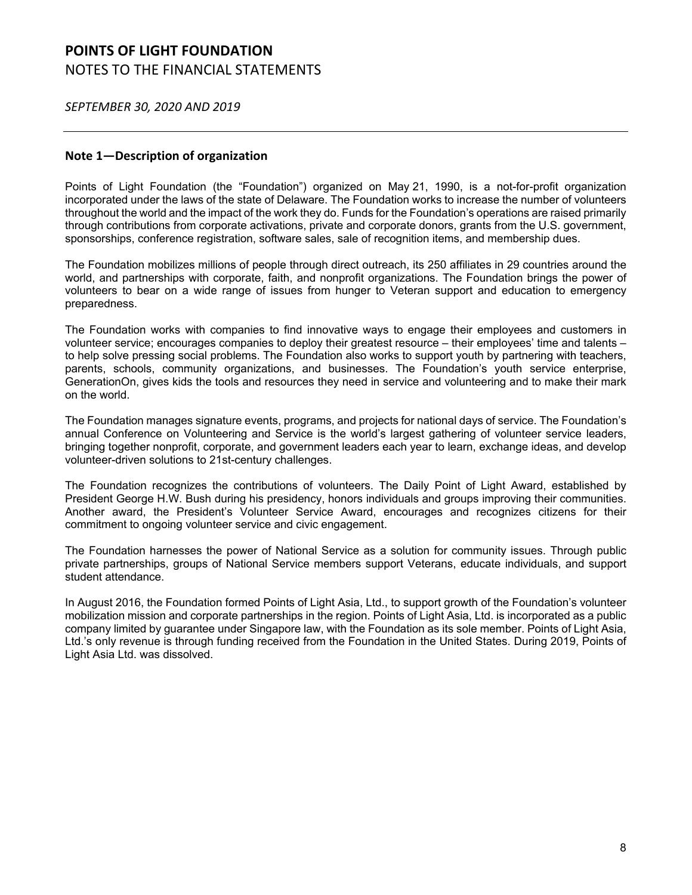*SEPTEMBER 30, 2020 AND 2019*

### **Note 1—Description of organization**

Points of Light Foundation (the "Foundation") organized on May 21, 1990, is a not-for-profit organization incorporated under the laws of the state of Delaware. The Foundation works to increase the number of volunteers throughout the world and the impact of the work they do. Funds for the Foundation's operations are raised primarily through contributions from corporate activations, private and corporate donors, grants from the U.S. government, sponsorships, conference registration, software sales, sale of recognition items, and membership dues.

The Foundation mobilizes millions of people through direct outreach, its 250 affiliates in 29 countries around the world, and partnerships with corporate, faith, and nonprofit organizations. The Foundation brings the power of volunteers to bear on a wide range of issues from hunger to Veteran support and education to emergency preparedness.

The Foundation works with companies to find innovative ways to engage their employees and customers in volunteer service; encourages companies to deploy their greatest resource – their employees' time and talents – to help solve pressing social problems. The Foundation also works to support youth by partnering with teachers, parents, schools, community organizations, and businesses. The Foundation's youth service enterprise, GenerationOn, gives kids the tools and resources they need in service and volunteering and to make their mark on the world.

The Foundation manages signature events, programs, and projects for national days of service. The Foundation's annual Conference on Volunteering and Service is the world's largest gathering of volunteer service leaders, bringing together nonprofit, corporate, and government leaders each year to learn, exchange ideas, and develop volunteer-driven solutions to 21st-century challenges.

The Foundation recognizes the contributions of volunteers. The Daily Point of Light Award, established by President George H.W. Bush during his presidency, honors individuals and groups improving their communities. Another award, the President's Volunteer Service Award, encourages and recognizes citizens for their commitment to ongoing volunteer service and civic engagement.

The Foundation harnesses the power of National Service as a solution for community issues. Through public private partnerships, groups of National Service members support Veterans, educate individuals, and support student attendance.

In August 2016, the Foundation formed Points of Light Asia, Ltd., to support growth of the Foundation's volunteer mobilization mission and corporate partnerships in the region. Points of Light Asia, Ltd. is incorporated as a public company limited by guarantee under Singapore law, with the Foundation as its sole member. Points of Light Asia, Ltd.'s only revenue is through funding received from the Foundation in the United States. During 2019, Points of Light Asia Ltd. was dissolved.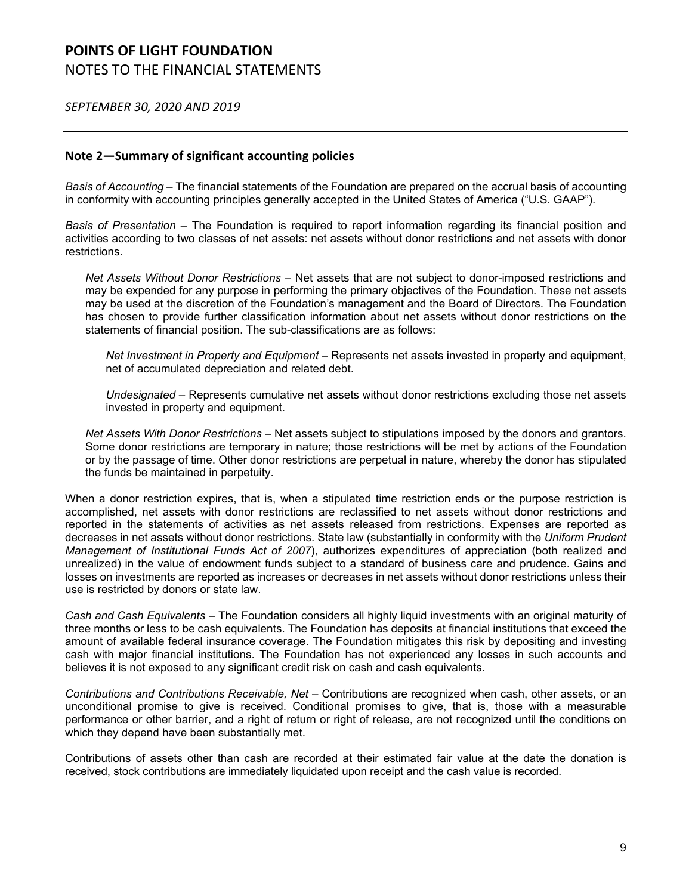*SEPTEMBER 30, 2020 AND 2019*

### **Note 2—Summary of significant accounting policies**

*Basis of Accounting* – The financial statements of the Foundation are prepared on the accrual basis of accounting in conformity with accounting principles generally accepted in the United States of America ("U.S. GAAP").

*Basis of Presentation* – The Foundation is required to report information regarding its financial position and activities according to two classes of net assets: net assets without donor restrictions and net assets with donor restrictions.

*Net Assets Without Donor Restrictions* – Net assets that are not subject to donor-imposed restrictions and may be expended for any purpose in performing the primary objectives of the Foundation. These net assets may be used at the discretion of the Foundation's management and the Board of Directors. The Foundation has chosen to provide further classification information about net assets without donor restrictions on the statements of financial position. The sub-classifications are as follows:

*Net Investment in Property and Equipment* – Represents net assets invested in property and equipment, net of accumulated depreciation and related debt.

*Undesignated* – Represents cumulative net assets without donor restrictions excluding those net assets invested in property and equipment.

*Net Assets With Donor Restrictions* – Net assets subject to stipulations imposed by the donors and grantors. Some donor restrictions are temporary in nature; those restrictions will be met by actions of the Foundation or by the passage of time. Other donor restrictions are perpetual in nature, whereby the donor has stipulated the funds be maintained in perpetuity.

When a donor restriction expires, that is, when a stipulated time restriction ends or the purpose restriction is accomplished, net assets with donor restrictions are reclassified to net assets without donor restrictions and reported in the statements of activities as net assets released from restrictions. Expenses are reported as decreases in net assets without donor restrictions. State law (substantially in conformity with the *Uniform Prudent Management of Institutional Funds Act of 2007*), authorizes expenditures of appreciation (both realized and unrealized) in the value of endowment funds subject to a standard of business care and prudence. Gains and losses on investments are reported as increases or decreases in net assets without donor restrictions unless their use is restricted by donors or state law.

*Cash and Cash Equivalents* – The Foundation considers all highly liquid investments with an original maturity of three months or less to be cash equivalents. The Foundation has deposits at financial institutions that exceed the amount of available federal insurance coverage. The Foundation mitigates this risk by depositing and investing cash with major financial institutions. The Foundation has not experienced any losses in such accounts and believes it is not exposed to any significant credit risk on cash and cash equivalents.

*Contributions and Contributions Receivable, Net* – Contributions are recognized when cash, other assets, or an unconditional promise to give is received. Conditional promises to give, that is, those with a measurable performance or other barrier, and a right of return or right of release, are not recognized until the conditions on which they depend have been substantially met.

Contributions of assets other than cash are recorded at their estimated fair value at the date the donation is received, stock contributions are immediately liquidated upon receipt and the cash value is recorded.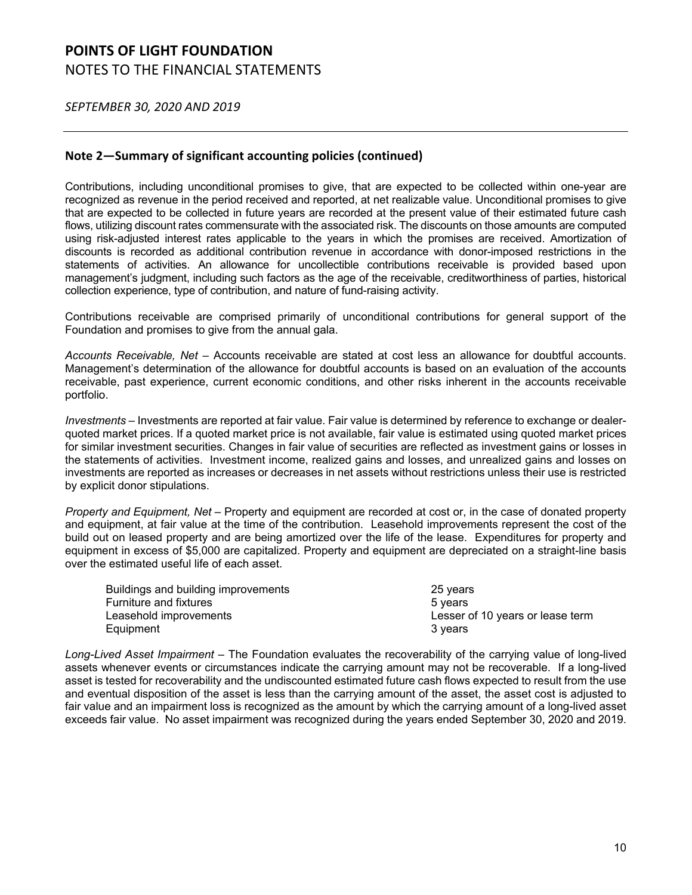*SEPTEMBER 30, 2020 AND 2019*

### **Note 2—Summary of significant accounting policies (continued)**

Contributions, including unconditional promises to give, that are expected to be collected within one-year are recognized as revenue in the period received and reported, at net realizable value. Unconditional promises to give that are expected to be collected in future years are recorded at the present value of their estimated future cash flows, utilizing discount rates commensurate with the associated risk. The discounts on those amounts are computed using risk-adjusted interest rates applicable to the years in which the promises are received. Amortization of discounts is recorded as additional contribution revenue in accordance with donor-imposed restrictions in the statements of activities. An allowance for uncollectible contributions receivable is provided based upon management's judgment, including such factors as the age of the receivable, creditworthiness of parties, historical collection experience, type of contribution, and nature of fund-raising activity.

Contributions receivable are comprised primarily of unconditional contributions for general support of the Foundation and promises to give from the annual gala.

*Accounts Receivable, Net* – Accounts receivable are stated at cost less an allowance for doubtful accounts. Management's determination of the allowance for doubtful accounts is based on an evaluation of the accounts receivable, past experience, current economic conditions, and other risks inherent in the accounts receivable portfolio.

*Investments* – Investments are reported at fair value. Fair value is determined by reference to exchange or dealerquoted market prices. If a quoted market price is not available, fair value is estimated using quoted market prices for similar investment securities. Changes in fair value of securities are reflected as investment gains or losses in the statements of activities. Investment income, realized gains and losses, and unrealized gains and losses on investments are reported as increases or decreases in net assets without restrictions unless their use is restricted by explicit donor stipulations.

*Property and Equipment, Net* – Property and equipment are recorded at cost or, in the case of donated property and equipment, at fair value at the time of the contribution. Leasehold improvements represent the cost of the build out on leased property and are being amortized over the life of the lease. Expenditures for property and equipment in excess of \$5,000 are capitalized. Property and equipment are depreciated on a straight-line basis over the estimated useful life of each asset.

| Buildings and building improvements | 25 years                         |
|-------------------------------------|----------------------------------|
| <b>Furniture and fixtures</b>       | 5 vears                          |
| Leasehold improvements              | Lesser of 10 years or lease term |
| Equipment                           | 3 vears                          |

*Long-Lived Asset Impairment* – The Foundation evaluates the recoverability of the carrying value of long-lived assets whenever events or circumstances indicate the carrying amount may not be recoverable. If a long-lived asset is tested for recoverability and the undiscounted estimated future cash flows expected to result from the use and eventual disposition of the asset is less than the carrying amount of the asset, the asset cost is adjusted to fair value and an impairment loss is recognized as the amount by which the carrying amount of a long-lived asset exceeds fair value. No asset impairment was recognized during the years ended September 30, 2020 and 2019.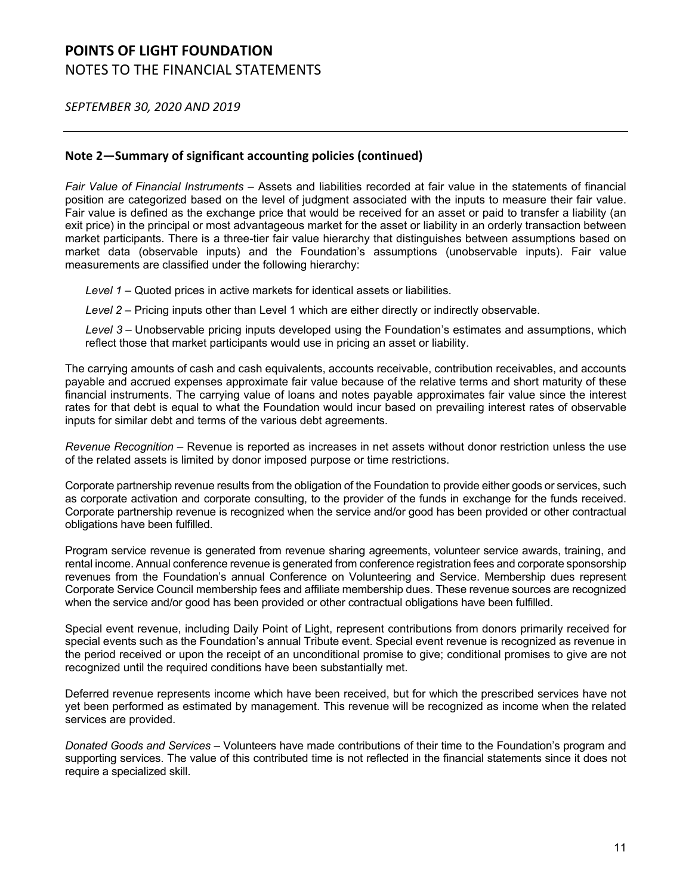*SEPTEMBER 30, 2020 AND 2019*

### **Note 2—Summary of significant accounting policies (continued)**

*Fair Value of Financial Instruments* – Assets and liabilities recorded at fair value in the statements of financial position are categorized based on the level of judgment associated with the inputs to measure their fair value. Fair value is defined as the exchange price that would be received for an asset or paid to transfer a liability (an exit price) in the principal or most advantageous market for the asset or liability in an orderly transaction between market participants. There is a three-tier fair value hierarchy that distinguishes between assumptions based on market data (observable inputs) and the Foundation's assumptions (unobservable inputs). Fair value measurements are classified under the following hierarchy:

*Level 1* – Quoted prices in active markets for identical assets or liabilities.

*Level 2* – Pricing inputs other than Level 1 which are either directly or indirectly observable.

*Level 3* – Unobservable pricing inputs developed using the Foundation's estimates and assumptions, which reflect those that market participants would use in pricing an asset or liability.

The carrying amounts of cash and cash equivalents, accounts receivable, contribution receivables, and accounts payable and accrued expenses approximate fair value because of the relative terms and short maturity of these financial instruments. The carrying value of loans and notes payable approximates fair value since the interest rates for that debt is equal to what the Foundation would incur based on prevailing interest rates of observable inputs for similar debt and terms of the various debt agreements.

*Revenue Recognition* – Revenue is reported as increases in net assets without donor restriction unless the use of the related assets is limited by donor imposed purpose or time restrictions.

Corporate partnership revenue results from the obligation of the Foundation to provide either goods or services, such as corporate activation and corporate consulting, to the provider of the funds in exchange for the funds received. Corporate partnership revenue is recognized when the service and/or good has been provided or other contractual obligations have been fulfilled.

Program service revenue is generated from revenue sharing agreements, volunteer service awards, training, and rental income. Annual conference revenue is generated from conference registration fees and corporate sponsorship revenues from the Foundation's annual Conference on Volunteering and Service. Membership dues represent Corporate Service Council membership fees and affiliate membership dues. These revenue sources are recognized when the service and/or good has been provided or other contractual obligations have been fulfilled.

Special event revenue, including Daily Point of Light, represent contributions from donors primarily received for special events such as the Foundation's annual Tribute event. Special event revenue is recognized as revenue in the period received or upon the receipt of an unconditional promise to give; conditional promises to give are not recognized until the required conditions have been substantially met.

Deferred revenue represents income which have been received, but for which the prescribed services have not yet been performed as estimated by management. This revenue will be recognized as income when the related services are provided.

*Donated Goods and Services* – Volunteers have made contributions of their time to the Foundation's program and supporting services. The value of this contributed time is not reflected in the financial statements since it does not require a specialized skill.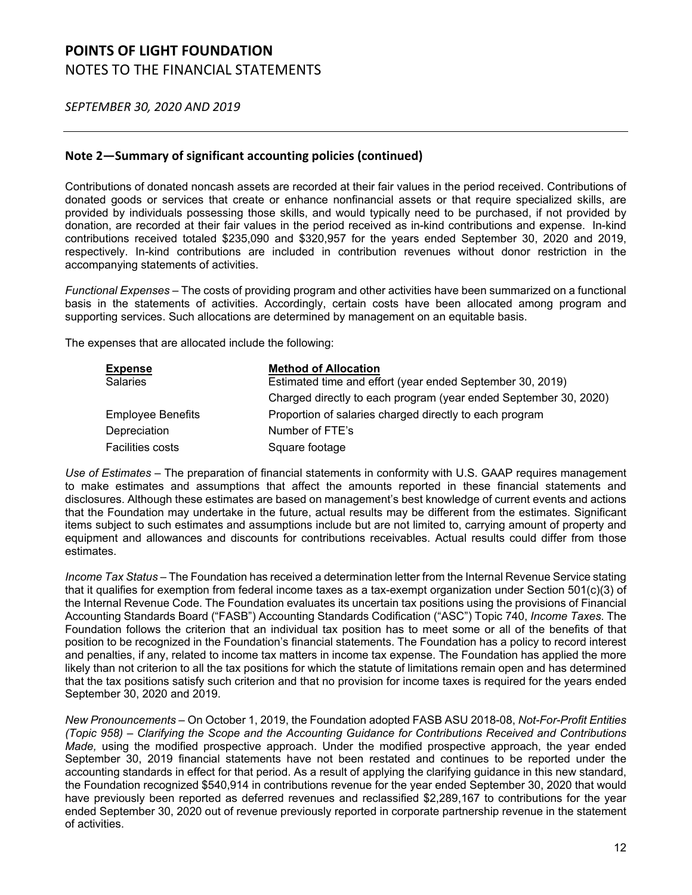*SEPTEMBER 30, 2020 AND 2019*

### **Note 2—Summary of significant accounting policies (continued)**

Contributions of donated noncash assets are recorded at their fair values in the period received. Contributions of donated goods or services that create or enhance nonfinancial assets or that require specialized skills, are provided by individuals possessing those skills, and would typically need to be purchased, if not provided by donation, are recorded at their fair values in the period received as in-kind contributions and expense. In-kind contributions received totaled \$235,090 and \$320,957 for the years ended September 30, 2020 and 2019, respectively. In-kind contributions are included in contribution revenues without donor restriction in the accompanying statements of activities.

*Functional Expenses* – The costs of providing program and other activities have been summarized on a functional basis in the statements of activities. Accordingly, certain costs have been allocated among program and supporting services. Such allocations are determined by management on an equitable basis.

The expenses that are allocated include the following:

| <b>Expense</b>           | <b>Method of Allocation</b>                                      |
|--------------------------|------------------------------------------------------------------|
| <b>Salaries</b>          | Estimated time and effort (year ended September 30, 2019)        |
|                          | Charged directly to each program (year ended September 30, 2020) |
| <b>Employee Benefits</b> | Proportion of salaries charged directly to each program          |
| Depreciation             | Number of FTE's                                                  |
| <b>Facilities costs</b>  | Square footage                                                   |

*Use of Estimates* – The preparation of financial statements in conformity with U.S. GAAP requires management to make estimates and assumptions that affect the amounts reported in these financial statements and disclosures. Although these estimates are based on management's best knowledge of current events and actions that the Foundation may undertake in the future, actual results may be different from the estimates. Significant items subject to such estimates and assumptions include but are not limited to, carrying amount of property and equipment and allowances and discounts for contributions receivables. Actual results could differ from those estimates.

*Income Tax Status* – The Foundation has received a determination letter from the Internal Revenue Service stating that it qualifies for exemption from federal income taxes as a tax-exempt organization under Section 501(c)(3) of the Internal Revenue Code. The Foundation evaluates its uncertain tax positions using the provisions of Financial Accounting Standards Board ("FASB") Accounting Standards Codification ("ASC") Topic 740, *Income Taxes*. The Foundation follows the criterion that an individual tax position has to meet some or all of the benefits of that position to be recognized in the Foundation's financial statements. The Foundation has a policy to record interest and penalties, if any, related to income tax matters in income tax expense. The Foundation has applied the more likely than not criterion to all the tax positions for which the statute of limitations remain open and has determined that the tax positions satisfy such criterion and that no provision for income taxes is required for the years ended September 30, 2020 and 2019.

*New Pronouncements –* On October 1, 2019, the Foundation adopted FASB ASU 2018-08, *Not-For-Profit Entities (Topic 958) – Clarifying the Scope and the Accounting Guidance for Contributions Received and Contributions Made,* using the modified prospective approach. Under the modified prospective approach, the year ended September 30, 2019 financial statements have not been restated and continues to be reported under the accounting standards in effect for that period. As a result of applying the clarifying guidance in this new standard, the Foundation recognized \$540,914 in contributions revenue for the year ended September 30, 2020 that would have previously been reported as deferred revenues and reclassified \$2,289,167 to contributions for the year ended September 30, 2020 out of revenue previously reported in corporate partnership revenue in the statement of activities.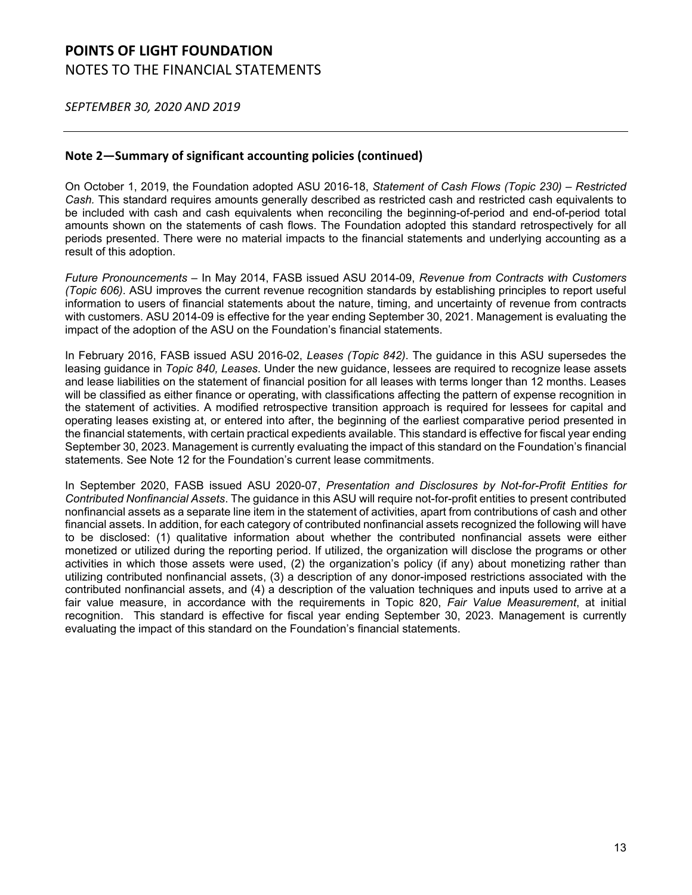*SEPTEMBER 30, 2020 AND 2019*

### **Note 2—Summary of significant accounting policies (continued)**

On October 1, 2019, the Foundation adopted ASU 2016-18, *Statement of Cash Flows (Topic 230) – Restricted Cash.* This standard requires amounts generally described as restricted cash and restricted cash equivalents to be included with cash and cash equivalents when reconciling the beginning-of-period and end-of-period total amounts shown on the statements of cash flows. The Foundation adopted this standard retrospectively for all periods presented. There were no material impacts to the financial statements and underlying accounting as a result of this adoption.

*Future Pronouncements* – In May 2014, FASB issued ASU 2014-09, *Revenue from Contracts with Customers (Topic 606)*. ASU improves the current revenue recognition standards by establishing principles to report useful information to users of financial statements about the nature, timing, and uncertainty of revenue from contracts with customers. ASU 2014-09 is effective for the year ending September 30, 2021. Management is evaluating the impact of the adoption of the ASU on the Foundation's financial statements.

In February 2016, FASB issued ASU 2016-02, *Leases (Topic 842)*. The guidance in this ASU supersedes the leasing guidance in *Topic 840, Leases*. Under the new guidance, lessees are required to recognize lease assets and lease liabilities on the statement of financial position for all leases with terms longer than 12 months. Leases will be classified as either finance or operating, with classifications affecting the pattern of expense recognition in the statement of activities. A modified retrospective transition approach is required for lessees for capital and operating leases existing at, or entered into after, the beginning of the earliest comparative period presented in the financial statements, with certain practical expedients available. This standard is effective for fiscal year ending September 30, 2023. Management is currently evaluating the impact of this standard on the Foundation's financial statements. See Note 12 for the Foundation's current lease commitments.

In September 2020, FASB issued ASU 2020-07, *Presentation and Disclosures by Not-for-Profit Entities for Contributed Nonfinancial Assets*. The guidance in this ASU will require not-for-profit entities to present contributed nonfinancial assets as a separate line item in the statement of activities, apart from contributions of cash and other financial assets. In addition, for each category of contributed nonfinancial assets recognized the following will have to be disclosed: (1) qualitative information about whether the contributed nonfinancial assets were either monetized or utilized during the reporting period. If utilized, the organization will disclose the programs or other activities in which those assets were used, (2) the organization's policy (if any) about monetizing rather than utilizing contributed nonfinancial assets, (3) a description of any donor-imposed restrictions associated with the contributed nonfinancial assets, and (4) a description of the valuation techniques and inputs used to arrive at a fair value measure, in accordance with the requirements in Topic 820, *Fair Value Measurement*, at initial recognition. This standard is effective for fiscal year ending September 30, 2023. Management is currently evaluating the impact of this standard on the Foundation's financial statements.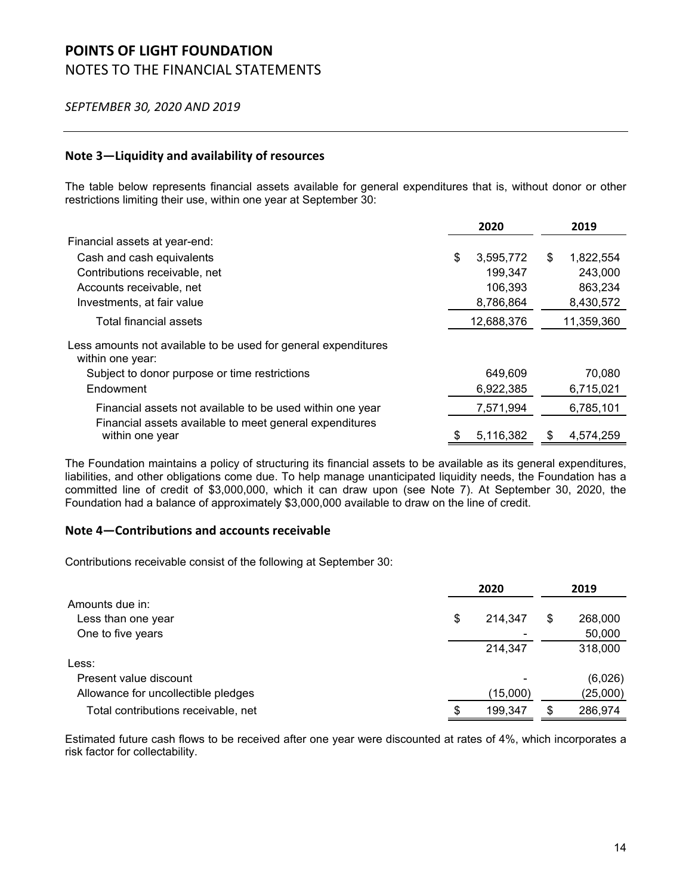#### *SEPTEMBER 30, 2020 AND 2019*

### **Note 3—Liquidity and availability of resources**

The table below represents financial assets available for general expenditures that is, without donor or other restrictions limiting their use, within one year at September 30:

|                                                                                    | 2020 |            |    | 2019       |
|------------------------------------------------------------------------------------|------|------------|----|------------|
| Financial assets at year-end:                                                      |      |            |    |            |
| Cash and cash equivalents                                                          | \$   | 3,595,772  | \$ | 1,822,554  |
| Contributions receivable, net                                                      |      | 199,347    |    | 243,000    |
| Accounts receivable, net                                                           |      | 106,393    |    | 863,234    |
| Investments, at fair value                                                         |      | 8,786,864  |    | 8,430,572  |
| Total financial assets                                                             |      | 12,688,376 |    | 11,359,360 |
| Less amounts not available to be used for general expenditures<br>within one year: |      |            |    |            |
| Subject to donor purpose or time restrictions                                      |      | 649,609    |    | 70,080     |
| Endowment                                                                          |      | 6,922,385  |    | 6,715,021  |
| Financial assets not available to be used within one year                          |      | 7,571,994  |    | 6,785,101  |
| Financial assets available to meet general expenditures<br>within one year         | \$   | 5,116,382  | S  | 4.574.259  |

The Foundation maintains a policy of structuring its financial assets to be available as its general expenditures, liabilities, and other obligations come due. To help manage unanticipated liquidity needs, the Foundation has a committed line of credit of \$3,000,000, which it can draw upon (see Note 7). At September 30, 2020, the Foundation had a balance of approximately \$3,000,000 available to draw on the line of credit.

#### **Note 4—Contributions and accounts receivable**

Contributions receivable consist of the following at September 30:

|                                     |    | 2020     |    |          |  |
|-------------------------------------|----|----------|----|----------|--|
| Amounts due in:                     |    |          |    |          |  |
| Less than one year                  | \$ | 214,347  | \$ | 268,000  |  |
| One to five years                   |    |          |    | 50,000   |  |
|                                     |    | 214,347  |    | 318,000  |  |
| Less:                               |    |          |    |          |  |
| Present value discount              |    |          |    | (6,026)  |  |
| Allowance for uncollectible pledges |    | (15,000) |    | (25,000) |  |
| Total contributions receivable, net | S  | 199,347  | S  | 286,974  |  |

Estimated future cash flows to be received after one year were discounted at rates of 4%, which incorporates a risk factor for collectability.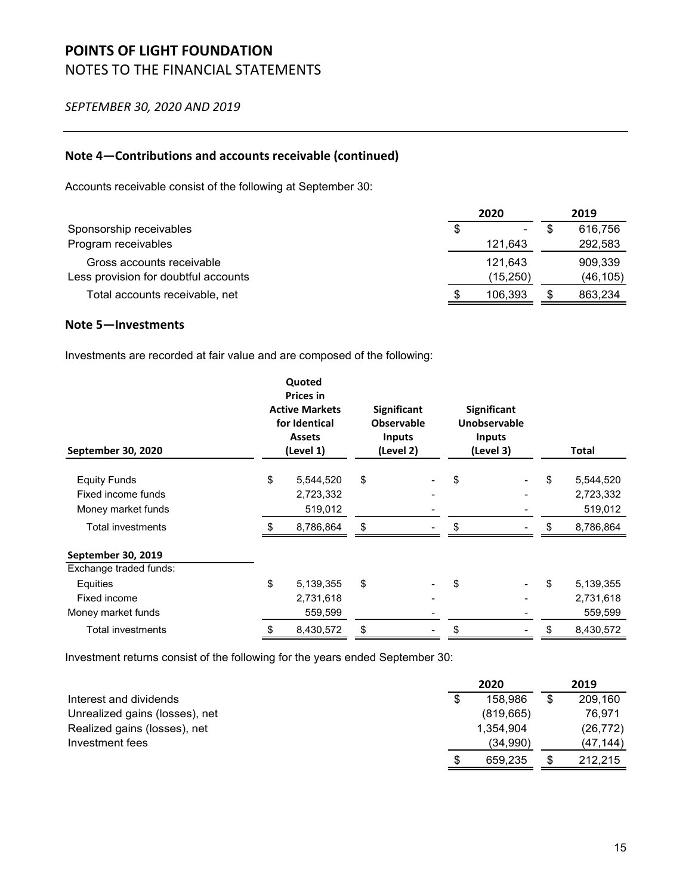*SEPTEMBER 30, 2020 AND 2019*

### **Note 4—Contributions and accounts receivable (continued)**

Accounts receivable consist of the following at September 30:

|                                      |    | 2020      | 2019      |
|--------------------------------------|----|-----------|-----------|
| Sponsorship receivables              | \$ | ۰         | 616.756   |
| Program receivables                  |    | 121.643   | 292,583   |
| Gross accounts receivable            |    | 121.643   | 909.339   |
| Less provision for doubtful accounts |    | (15, 250) | (46, 105) |
| Total accounts receivable, net       | S  | 106.393   | 863,234   |

### **Note 5—Investments**

Investments are recorded at fair value and are composed of the following:

| September 30, 2020       | Quoted<br><b>Prices in</b><br><b>Active Markets</b><br>for Identical<br><b>Assets</b><br>(Level 1) | <b>Significant</b><br><b>Observable</b><br><b>Inputs</b><br>(Level 2) | <b>Significant</b><br>Unobservable<br><b>Inputs</b><br>(Level 3) |    | Total     |
|--------------------------|----------------------------------------------------------------------------------------------------|-----------------------------------------------------------------------|------------------------------------------------------------------|----|-----------|
| <b>Equity Funds</b>      | \$<br>5,544,520                                                                                    | \$                                                                    | \$                                                               | \$ | 5,544,520 |
| Fixed income funds       | 2,723,332                                                                                          |                                                                       |                                                                  |    | 2,723,332 |
| Money market funds       | 519,012                                                                                            |                                                                       |                                                                  |    | 519,012   |
| <b>Total investments</b> | 8,786,864                                                                                          | \$                                                                    | \$                                                               | S  | 8,786,864 |
| September 30, 2019       |                                                                                                    |                                                                       |                                                                  |    |           |
| Exchange traded funds:   |                                                                                                    |                                                                       |                                                                  |    |           |
| Equities                 | \$<br>5,139,355                                                                                    | \$                                                                    | \$                                                               | \$ | 5,139,355 |
| Fixed income             | 2,731,618                                                                                          |                                                                       |                                                                  |    | 2,731,618 |
| Money market funds       | 559,599                                                                                            |                                                                       |                                                                  |    | 559,599   |
| <b>Total investments</b> | 8,430,572                                                                                          | \$                                                                    | \$                                                               | \$ | 8,430,572 |

Investment returns consist of the following for the years ended September 30:

|                                | 2020          | 2019          |
|--------------------------------|---------------|---------------|
| Interest and dividends         | \$<br>158,986 | \$<br>209,160 |
| Unrealized gains (losses), net | (819, 665)    | 76.971        |
| Realized gains (losses), net   | 1,354,904     | (26, 772)     |
| Investment fees                | (34,990)      | (47,144)      |
|                                | \$<br>659.235 | 212.215       |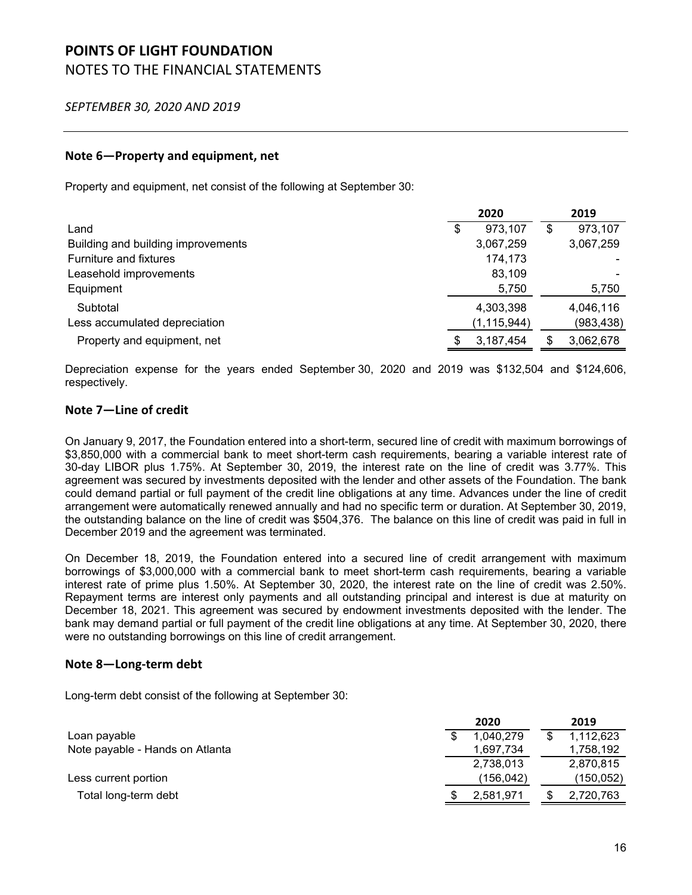*SEPTEMBER 30, 2020 AND 2019*

### **Note 6—Property and equipment, net**

Property and equipment, net consist of the following at September 30:

|                                    |    | 2020          | 2019 |            |  |
|------------------------------------|----|---------------|------|------------|--|
| Land                               | \$ | 973,107       | \$   | 973,107    |  |
| Building and building improvements |    | 3,067,259     |      | 3,067,259  |  |
| Furniture and fixtures             |    | 174,173       |      |            |  |
| Leasehold improvements             |    | 83,109        |      |            |  |
| Equipment                          |    | 5,750         |      | 5,750      |  |
| Subtotal                           |    | 4,303,398     |      | 4,046,116  |  |
| Less accumulated depreciation      |    | (1, 115, 944) |      | (983, 438) |  |
| Property and equipment, net        |    | 3,187,454     |      | 3,062,678  |  |

Depreciation expense for the years ended September 30, 2020 and 2019 was \$132,504 and \$124,606, respectively.

### **Note 7—Line of credit**

On January 9, 2017, the Foundation entered into a short-term, secured line of credit with maximum borrowings of \$3,850,000 with a commercial bank to meet short-term cash requirements, bearing a variable interest rate of 30-day LIBOR plus 1.75%. At September 30, 2019, the interest rate on the line of credit was 3.77%. This agreement was secured by investments deposited with the lender and other assets of the Foundation. The bank could demand partial or full payment of the credit line obligations at any time. Advances under the line of credit arrangement were automatically renewed annually and had no specific term or duration. At September 30, 2019, the outstanding balance on the line of credit was \$504,376. The balance on this line of credit was paid in full in December 2019 and the agreement was terminated.

On December 18, 2019, the Foundation entered into a secured line of credit arrangement with maximum borrowings of \$3,000,000 with a commercial bank to meet short-term cash requirements, bearing a variable interest rate of prime plus 1.50%. At September 30, 2020, the interest rate on the line of credit was 2.50%. Repayment terms are interest only payments and all outstanding principal and interest is due at maturity on December 18, 2021. This agreement was secured by endowment investments deposited with the lender. The bank may demand partial or full payment of the credit line obligations at any time. At September 30, 2020, there were no outstanding borrowings on this line of credit arrangement.

### **Note 8—Long‐term debt**

Long-term debt consist of the following at September 30:

|                                 | 2020 |           | 2019      |
|---------------------------------|------|-----------|-----------|
| Loan payable                    |      | 1.040.279 | 1,112,623 |
| Note payable - Hands on Atlanta |      | 1,697,734 | 1,758,192 |
|                                 |      | 2,738,013 | 2,870,815 |
| Less current portion            |      | (156,042) | (150,052) |
| Total long-term debt            |      | 2,581,971 | 2,720,763 |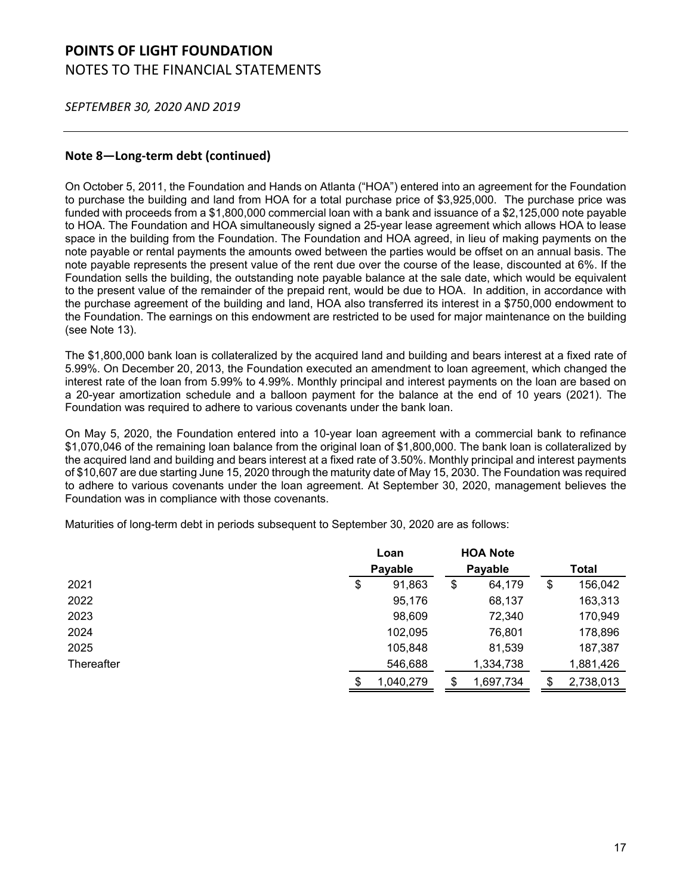*SEPTEMBER 30, 2020 AND 2019*

### **Note 8—Long‐term debt (continued)**

On October 5, 2011, the Foundation and Hands on Atlanta ("HOA") entered into an agreement for the Foundation to purchase the building and land from HOA for a total purchase price of \$3,925,000. The purchase price was funded with proceeds from a \$1,800,000 commercial loan with a bank and issuance of a \$2,125,000 note payable to HOA. The Foundation and HOA simultaneously signed a 25-year lease agreement which allows HOA to lease space in the building from the Foundation. The Foundation and HOA agreed, in lieu of making payments on the note payable or rental payments the amounts owed between the parties would be offset on an annual basis. The note payable represents the present value of the rent due over the course of the lease, discounted at 6%. If the Foundation sells the building, the outstanding note payable balance at the sale date, which would be equivalent to the present value of the remainder of the prepaid rent, would be due to HOA. In addition, in accordance with the purchase agreement of the building and land, HOA also transferred its interest in a \$750,000 endowment to the Foundation. The earnings on this endowment are restricted to be used for major maintenance on the building (see Note 13).

The \$1,800,000 bank loan is collateralized by the acquired land and building and bears interest at a fixed rate of 5.99%. On December 20, 2013, the Foundation executed an amendment to loan agreement, which changed the interest rate of the loan from 5.99% to 4.99%. Monthly principal and interest payments on the loan are based on a 20-year amortization schedule and a balloon payment for the balance at the end of 10 years (2021). The Foundation was required to adhere to various covenants under the bank loan.

On May 5, 2020, the Foundation entered into a 10-year loan agreement with a commercial bank to refinance \$1,070,046 of the remaining loan balance from the original loan of \$1,800,000. The bank loan is collateralized by the acquired land and building and bears interest at a fixed rate of 3.50%. Monthly principal and interest payments of \$10,607 are due starting June 15, 2020 through the maturity date of May 15, 2030. The Foundation was required to adhere to various covenants under the loan agreement. At September 30, 2020, management believes the Foundation was in compliance with those covenants.

Maturities of long-term debt in periods subsequent to September 30, 2020 are as follows:

|            |    | Loan      |    | <b>HOA Note</b> |    |           |  |       |  |
|------------|----|-----------|----|-----------------|----|-----------|--|-------|--|
|            |    | Payable   |    |                 |    | Payable   |  | Total |  |
| 2021       | \$ | 91,863    | \$ | 64,179          | \$ | 156,042   |  |       |  |
| 2022       |    | 95,176    |    | 68,137          |    | 163,313   |  |       |  |
| 2023       |    | 98,609    |    | 72,340          |    | 170,949   |  |       |  |
| 2024       |    | 102,095   |    | 76,801          |    | 178,896   |  |       |  |
| 2025       |    | 105,848   |    | 81,539          |    | 187,387   |  |       |  |
| Thereafter |    | 546,688   |    | 1,334,738       |    | 1,881,426 |  |       |  |
|            | \$ | 1,040,279 | \$ | 1,697,734       | \$ | 2,738,013 |  |       |  |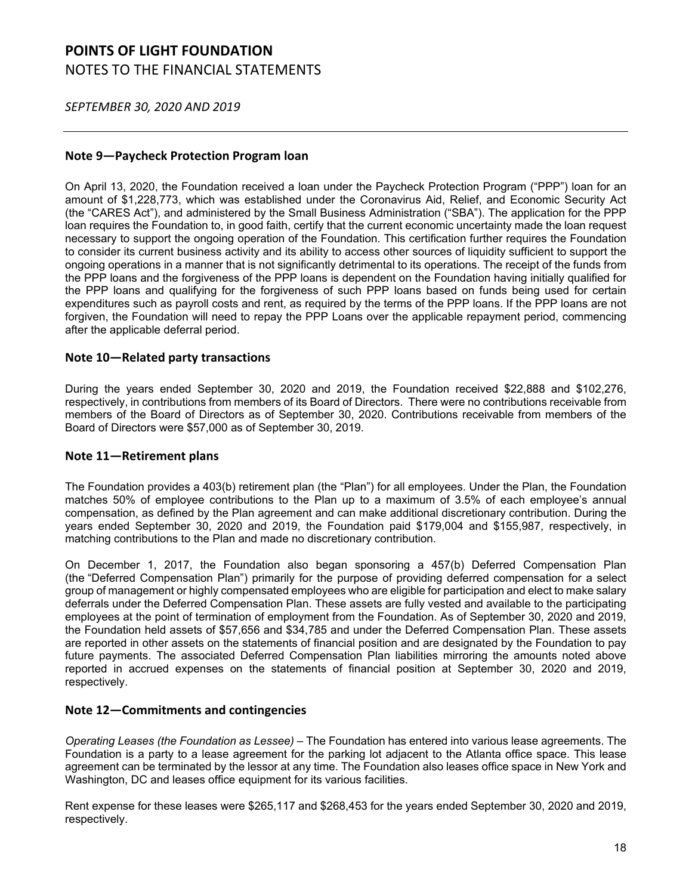*SEPTEMBER 30, 2020 AND 2019*

### **Note 9—Paycheck Protection Program loan**

On April 13, 2020, the Foundation received a loan under the Paycheck Protection Program ("PPP") loan for an amount of \$1,228,773, which was established under the Coronavirus Aid, Relief, and Economic Security Act (the "CARES Act"), and administered by the Small Business Administration ("SBA"). The application for the PPP loan requires the Foundation to, in good faith, certify that the current economic uncertainty made the loan request necessary to support the ongoing operation of the Foundation. This certification further requires the Foundation to consider its current business activity and its ability to access other sources of liquidity sufficient to support the ongoing operations in a manner that is not significantly detrimental to its operations. The receipt of the funds from the PPP loans and the forgiveness of the PPP loans is dependent on the Foundation having initially qualified for the PPP loans and qualifying for the forgiveness of such PPP loans based on funds being used for certain expenditures such as payroll costs and rent, as required by the terms of the PPP loans. If the PPP loans are not forgiven, the Foundation will need to repay the PPP Loans over the applicable repayment period, commencing after the applicable deferral period.

### **Note 10—Related party transactions**

During the years ended September 30, 2020 and 2019, the Foundation received \$22,888 and \$102,276, respectively, in contributions from members of its Board of Directors. There were no contributions receivable from members of the Board of Directors as of September 30, 2020. Contributions receivable from members of the Board of Directors were \$57,000 as of September 30, 2019.

### **Note 11—Retirement plans**

The Foundation provides a 403(b) retirement plan (the "Plan") for all employees. Under the Plan, the Foundation matches 50% of employee contributions to the Plan up to a maximum of 3.5% of each employee's annual compensation, as defined by the Plan agreement and can make additional discretionary contribution. During the years ended September 30, 2020 and 2019, the Foundation paid \$179,004 and \$155,987, respectively, in matching contributions to the Plan and made no discretionary contribution.

On December 1, 2017, the Foundation also began sponsoring a 457(b) Deferred Compensation Plan (the "Deferred Compensation Plan") primarily for the purpose of providing deferred compensation for a select group of management or highly compensated employees who are eligible for participation and elect to make salary deferrals under the Deferred Compensation Plan. These assets are fully vested and available to the participating employees at the point of termination of employment from the Foundation. As of September 30, 2020 and 2019, the Foundation held assets of \$57,656 and \$34,785 and under the Deferred Compensation Plan. These assets are reported in other assets on the statements of financial position and are designated by the Foundation to pay future payments. The associated Deferred Compensation Plan liabilities mirroring the amounts noted above reported in accrued expenses on the statements of financial position at September 30, 2020 and 2019, respectively.

### **Note 12—Commitments and contingencies**

*Operating Leases (the Foundation as Lessee)* – The Foundation has entered into various lease agreements. The Foundation is a party to a lease agreement for the parking lot adjacent to the Atlanta office space. This lease agreement can be terminated by the lessor at any time. The Foundation also leases office space in New York and Washington, DC and leases office equipment for its various facilities.

Rent expense for these leases were \$265,117 and \$268,453 for the years ended September 30, 2020 and 2019, respectively.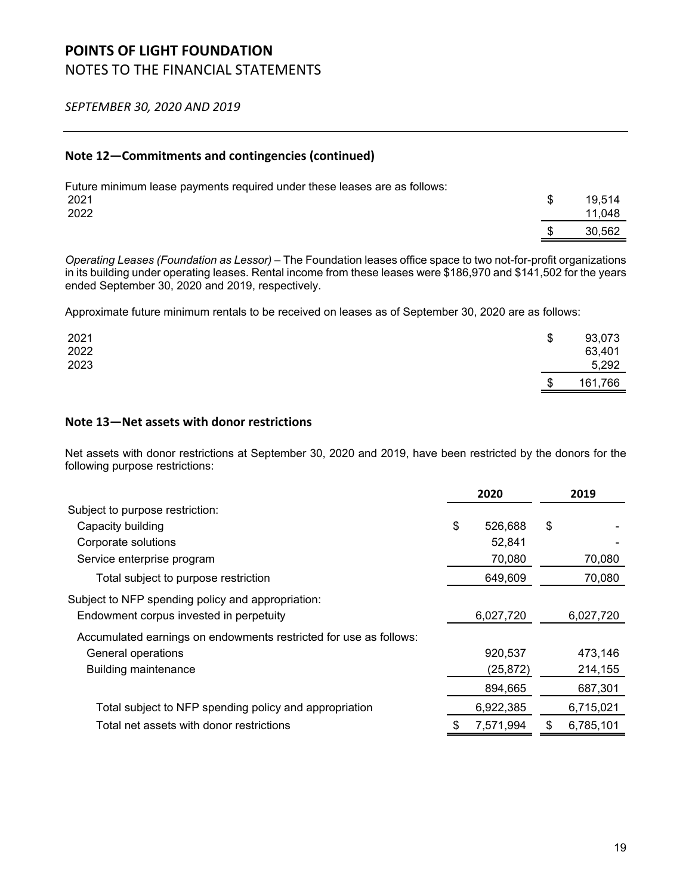*SEPTEMBER 30, 2020 AND 2019*

### **Note 12—Commitments and contingencies (continued)**

| Future minimum lease payments required under these leases are as follows: |        |
|---------------------------------------------------------------------------|--------|
| 2021                                                                      | 19.514 |
| 2022                                                                      | 11.048 |
|                                                                           | 30.562 |

*Operating Leases (Foundation as Lessor)* – The Foundation leases office space to two not-for-profit organizations in its building under operating leases. Rental income from these leases were \$186,970 and \$141,502 for the years ended September 30, 2020 and 2019, respectively.

Approximate future minimum rentals to be received on leases as of September 30, 2020 are as follows:

| 2021<br>2022<br>2023 | \$<br>93,073<br>63,401<br>5,292 |
|----------------------|---------------------------------|
|                      | \$<br>161,766                   |

### **Note 13—Net assets with donor restrictions**

Net assets with donor restrictions at September 30, 2020 and 2019, have been restricted by the donors for the following purpose restrictions:

|                                                                   | 2020            | 2019            |
|-------------------------------------------------------------------|-----------------|-----------------|
| Subject to purpose restriction:                                   |                 |                 |
| Capacity building                                                 | \$<br>526,688   | \$              |
| Corporate solutions                                               | 52,841          |                 |
| Service enterprise program                                        | 70,080          | 70,080          |
| Total subject to purpose restriction                              | 649,609         | 70,080          |
| Subject to NFP spending policy and appropriation:                 |                 |                 |
| Endowment corpus invested in perpetuity                           | 6,027,720       | 6,027,720       |
| Accumulated earnings on endowments restricted for use as follows: |                 |                 |
| General operations                                                | 920,537         | 473,146         |
| <b>Building maintenance</b>                                       | (25, 872)       | 214,155         |
|                                                                   | 894,665         | 687,301         |
| Total subject to NFP spending policy and appropriation            | 6,922,385       | 6,715,021       |
| Total net assets with donor restrictions                          | \$<br>7,571,994 | \$<br>6,785,101 |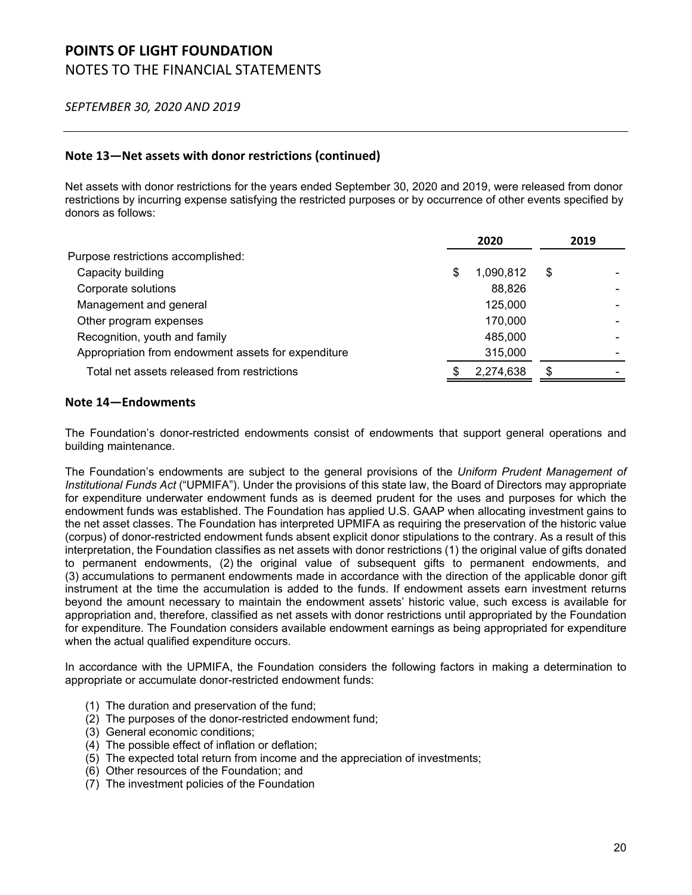### *SEPTEMBER 30, 2020 AND 2019*

### **Note 13—Net assets with donor restrictions (continued)**

Net assets with donor restrictions for the years ended September 30, 2020 and 2019, were released from donor restrictions by incurring expense satisfying the restricted purposes or by occurrence of other events specified by donors as follows:

|                                                     |   | 2020      | 2019 |
|-----------------------------------------------------|---|-----------|------|
| Purpose restrictions accomplished:                  |   |           |      |
| Capacity building                                   | S | 1,090,812 | \$   |
| Corporate solutions                                 |   | 88,826    |      |
| Management and general                              |   | 125,000   |      |
| Other program expenses                              |   | 170,000   |      |
| Recognition, youth and family                       |   | 485,000   |      |
| Appropriation from endowment assets for expenditure |   | 315,000   |      |
| Total net assets released from restrictions         |   | 2,274,638 | \$   |

#### **Note 14—Endowments**

The Foundation's donor-restricted endowments consist of endowments that support general operations and building maintenance.

The Foundation's endowments are subject to the general provisions of the *Uniform Prudent Management of Institutional Funds Act* ("UPMIFA"). Under the provisions of this state law, the Board of Directors may appropriate for expenditure underwater endowment funds as is deemed prudent for the uses and purposes for which the endowment funds was established. The Foundation has applied U.S. GAAP when allocating investment gains to the net asset classes. The Foundation has interpreted UPMIFA as requiring the preservation of the historic value (corpus) of donor-restricted endowment funds absent explicit donor stipulations to the contrary. As a result of this interpretation, the Foundation classifies as net assets with donor restrictions (1) the original value of gifts donated to permanent endowments, (2) the original value of subsequent gifts to permanent endowments, and (3) accumulations to permanent endowments made in accordance with the direction of the applicable donor gift instrument at the time the accumulation is added to the funds. If endowment assets earn investment returns beyond the amount necessary to maintain the endowment assets' historic value, such excess is available for appropriation and, therefore, classified as net assets with donor restrictions until appropriated by the Foundation for expenditure. The Foundation considers available endowment earnings as being appropriated for expenditure when the actual qualified expenditure occurs.

In accordance with the UPMIFA, the Foundation considers the following factors in making a determination to appropriate or accumulate donor-restricted endowment funds:

- (1) The duration and preservation of the fund;
- (2) The purposes of the donor-restricted endowment fund;
- (3) General economic conditions;
- (4) The possible effect of inflation or deflation;
- (5) The expected total return from income and the appreciation of investments;
- (6) Other resources of the Foundation; and
- (7) The investment policies of the Foundation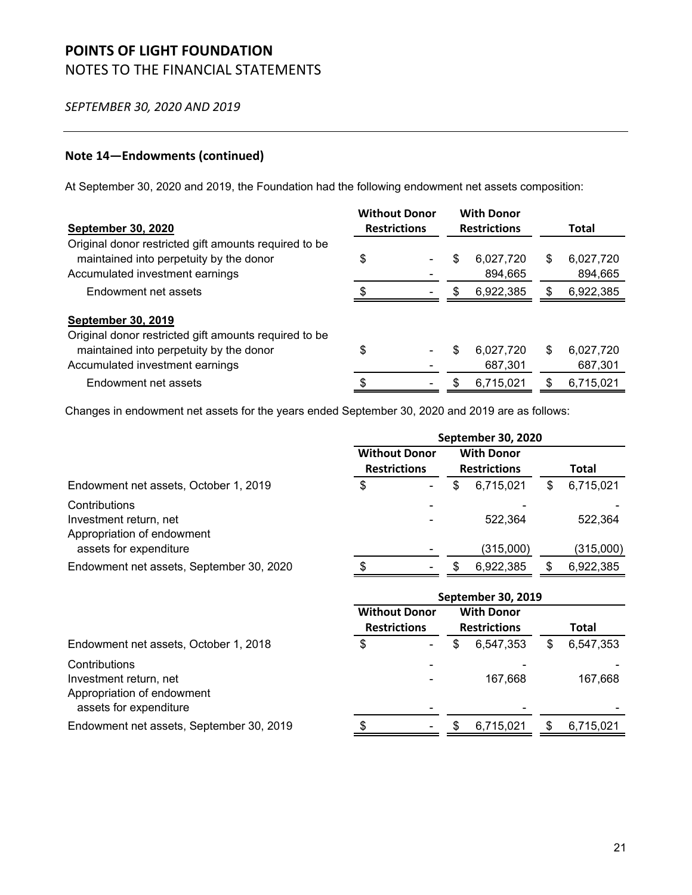*SEPTEMBER 30, 2020 AND 2019*

### **Note 14—Endowments (continued)**

At September 30, 2020 and 2019, the Foundation had the following endowment net assets composition:

| <b>September 30, 2020</b>                                                                                                                                        | <b>Without Donor</b><br><b>Restrictions</b> |     | <b>With Donor</b><br><b>Restrictions</b> |    | Total                |
|------------------------------------------------------------------------------------------------------------------------------------------------------------------|---------------------------------------------|-----|------------------------------------------|----|----------------------|
| Original donor restricted gift amounts required to be<br>maintained into perpetuity by the donor<br>Accumulated investment earnings                              | \$                                          | \$  | 6,027,720<br>894,665                     | S  | 6,027,720<br>894,665 |
| Endowment net assets                                                                                                                                             |                                             | \$. | 6,922,385                                | S  | 6,922,385            |
| <b>September 30, 2019</b><br>Original donor restricted gift amounts required to be<br>maintained into perpetuity by the donor<br>Accumulated investment earnings | \$                                          | \$  | 6,027,720<br>687,301                     | \$ | 6,027,720<br>687,301 |
| Endowment net assets                                                                                                                                             | \$                                          | \$  | 6,715,021                                | S  | 6,715,021            |

Changes in endowment net assets for the years ended September 30, 2020 and 2019 are as follows:

|                                                                                                 | September 30, 2020                          |  |    |                                          |    |              |
|-------------------------------------------------------------------------------------------------|---------------------------------------------|--|----|------------------------------------------|----|--------------|
|                                                                                                 | <b>Without Donor</b><br><b>Restrictions</b> |  |    | <b>With Donor</b><br><b>Restrictions</b> |    | Total        |
| Endowment net assets, October 1, 2019                                                           | \$                                          |  | \$ | 6,715,021                                | \$ | 6,715,021    |
| Contributions<br>Investment return, net<br>Appropriation of endowment                           |                                             |  |    | 522,364                                  |    | 522,364      |
| assets for expenditure                                                                          |                                             |  |    | (315,000)                                |    | (315,000)    |
| Endowment net assets, September 30, 2020                                                        |                                             |  | \$ | 6,922,385                                | \$ | 6,922,385    |
|                                                                                                 | September 30, 2019                          |  |    |                                          |    |              |
|                                                                                                 |                                             |  |    |                                          |    |              |
|                                                                                                 | <b>Without Donor</b>                        |  |    | <b>With Donor</b>                        |    |              |
|                                                                                                 | <b>Restrictions</b>                         |  |    | <b>Restrictions</b>                      |    | <b>Total</b> |
| Endowment net assets, October 1, 2018                                                           | \$                                          |  | \$ | 6,547,353                                | \$ | 6,547,353    |
| Contributions<br>Investment return, net<br>Appropriation of endowment<br>assets for expenditure |                                             |  |    | 167,668                                  |    | 167,668      |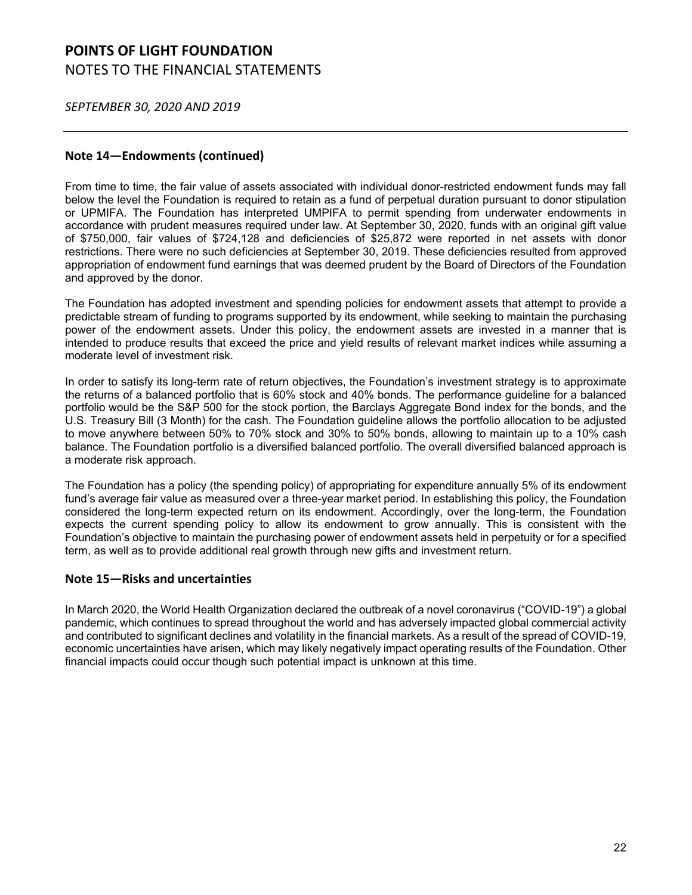*SEPTEMBER 30, 2020 AND 2019*

### **Note 14—Endowments (continued)**

From time to time, the fair value of assets associated with individual donor-restricted endowment funds may fall below the level the Foundation is required to retain as a fund of perpetual duration pursuant to donor stipulation or UPMIFA. The Foundation has interpreted UMPIFA to permit spending from underwater endowments in accordance with prudent measures required under law. At September 30, 2020, funds with an original gift value of \$750,000, fair values of \$724,128 and deficiencies of \$25,872 were reported in net assets with donor restrictions. There were no such deficiencies at September 30, 2019. These deficiencies resulted from approved appropriation of endowment fund earnings that was deemed prudent by the Board of Directors of the Foundation and approved by the donor.

The Foundation has adopted investment and spending policies for endowment assets that attempt to provide a predictable stream of funding to programs supported by its endowment, while seeking to maintain the purchasing power of the endowment assets. Under this policy, the endowment assets are invested in a manner that is intended to produce results that exceed the price and yield results of relevant market indices while assuming a moderate level of investment risk.

In order to satisfy its long-term rate of return objectives, the Foundation's investment strategy is to approximate the returns of a balanced portfolio that is 60% stock and 40% bonds. The performance guideline for a balanced portfolio would be the S&P 500 for the stock portion, the Barclays Aggregate Bond index for the bonds, and the U.S. Treasury Bill (3 Month) for the cash. The Foundation guideline allows the portfolio allocation to be adjusted to move anywhere between 50% to 70% stock and 30% to 50% bonds, allowing to maintain up to a 10% cash balance. The Foundation portfolio is a diversified balanced portfolio. The overall diversified balanced approach is a moderate risk approach.

The Foundation has a policy (the spending policy) of appropriating for expenditure annually 5% of its endowment fund's average fair value as measured over a three-year market period. In establishing this policy, the Foundation considered the long-term expected return on its endowment. Accordingly, over the long-term, the Foundation expects the current spending policy to allow its endowment to grow annually. This is consistent with the Foundation's objective to maintain the purchasing power of endowment assets held in perpetuity or for a specified term, as well as to provide additional real growth through new gifts and investment return.

### **Note 15—Risks and uncertainties**

In March 2020, the World Health Organization declared the outbreak of a novel coronavirus ("COVID-19") a global pandemic, which continues to spread throughout the world and has adversely impacted global commercial activity and contributed to significant declines and volatility in the financial markets. As a result of the spread of COVID-19, economic uncertainties have arisen, which may likely negatively impact operating results of the Foundation. Other financial impacts could occur though such potential impact is unknown at this time.